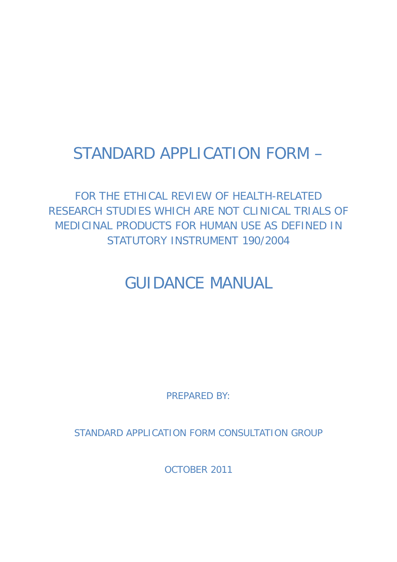# STANDARD APPLICATION FORM –

FOR THE ETHICAL REVIEW OF HEALTH-RELATED RESEARCH STUDIES WHICH ARE NOT CLINICAL TRIALS OF MEDICINAL PRODUCTS FOR HUMAN USE AS DEFINED IN STATUTORY INSTRUMENT 190/2004

# GUIDANCE MANUAL

PREPARED BY:

STANDARD APPLICATION FORM CONSULTATION GROUP

OCTOBER 2011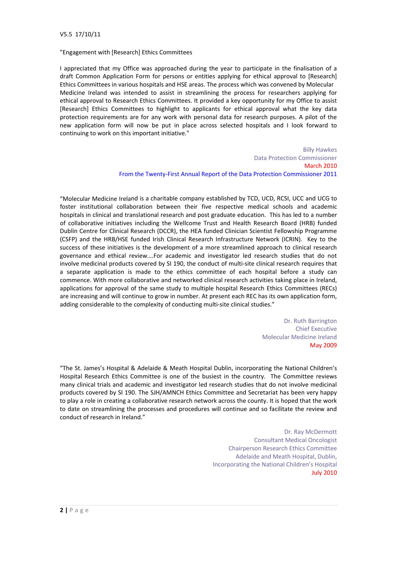#### "Engagement with [Research] Ethics Committees

I appreciated that my Office was approached during the year to participate in the finalisation of a draft Common Application Form for persons or entities applying for ethical approval to [Research] Ethics Committees in various hospitals and HSE areas. The process which was convened by Molecular Medicine Ireland was intended to assist in streamlining the process for researchers applying for ethical approval to Research Ethics Committees. It provided a key opportunity for my Office to assist [Research] Ethics Committees to highlight to applicants for ethical approval what the key data protection requirements are for any work with personal data for research purposes. A pilot of the new application form will now be put in place across selected hospitals and I look forward to continuing to work on this important initiative."

> Billy Hawkes Data Protection Commissioner March 2010 From the Twenty‐First Annual Report of the Data Protection Commissioner 2011

"Molecular Medicine Ireland is a charitable company established by TCD, UCD, RCSI, UCC and UCG to foster institutional collaboration between their five respective medical schools and academic hospitals in clinical and translational research and post graduate education. This has led to a number of collaborative initiatives including the Wellcome Trust and Health Research Board (HRB) funded Dublin Centre for Clinical Research (DCCR), the HEA funded Clinician Scientist Fellowship Programme (CSFP) and the HRB/HSE funded Irish Clinical Research Infrastructure Network (ICRIN). Key to the success of these initiatives is the development of a more streamlined approach to clinical research governance and ethical review….For academic and investigator led research studies that do not involve medicinal products covered by SI 190, the conduct of multi‐site clinical research requires that a separate application is made to the ethics committee of each hospital before a study can commence. With more collaborative and networked clinical research activities taking place in Ireland, applications for approval of the same study to multiple hospital Research Ethics Committees (RECs) are increasing and will continue to grow in number. At present each REC has its own application form, adding considerable to the complexity of conducting multi-site clinical studies."

> Dr. Ruth Barrington Chief Executive Molecular Medicine Ireland May 2009

"The St. James's Hospital & Adelaide & Meath Hospital Dublin, incorporating the National Children's Hospital Research Ethics Committee is one of the busiest in the country. The Committee reviews many clinical trials and academic and investigator led research studies that do not involve medicinal products covered by SI 190. The SJH/AMNCH Ethics Committee and Secretariat has been very happy to play a role in creating a collaborative research network across the county. It is hoped that the work to date on streamlining the processes and procedures will continue and so facilitate the review and conduct of research in Ireland."

> Dr. Ray McDermott Consultant Medical Oncologist Chairperson Research Ethics Committee Adelaide and Meath Hospital, Dublin, Incorporating the National Children's Hospital July 2010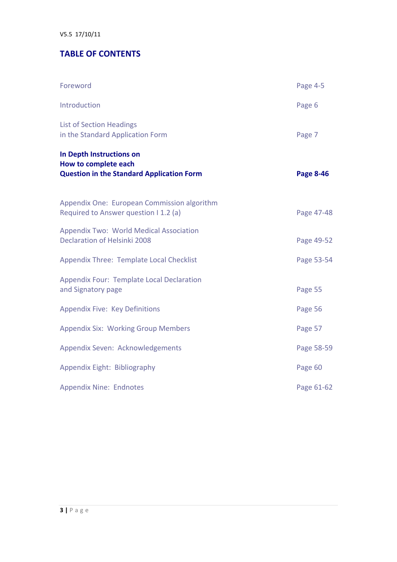# **TABLE OF CONTENTS**

| Foreword                                                                                             | Page 4-5         |
|------------------------------------------------------------------------------------------------------|------------------|
| Introduction                                                                                         | Page 6           |
| <b>List of Section Headings</b><br>in the Standard Application Form                                  | Page 7           |
| In Depth Instructions on<br>How to complete each<br><b>Question in the Standard Application Form</b> | <b>Page 8-46</b> |
| Appendix One: European Commission algorithm<br>Required to Answer question I 1.2 (a)                 | Page 47-48       |
| <b>Appendix Two: World Medical Association</b><br>Declaration of Helsinki 2008                       | Page 49-52       |
| Appendix Three: Template Local Checklist                                                             | Page 53-54       |
| <b>Appendix Four: Template Local Declaration</b><br>and Signatory page                               | Page 55          |
| <b>Appendix Five: Key Definitions</b>                                                                | Page 56          |
| <b>Appendix Six: Working Group Members</b>                                                           | Page 57          |
| Appendix Seven: Acknowledgements                                                                     | Page 58-59       |
| Appendix Eight: Bibliography                                                                         | Page 60          |
| <b>Appendix Nine: Endnotes</b>                                                                       | Page 61-62       |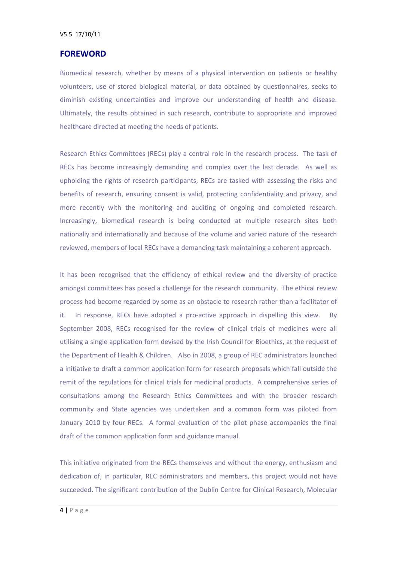#### **FOREWORD**

Biomedical research, whether by means of a physical intervention on patients or healthy volunteers, use of stored biological material, or data obtained by questionnaires, seeks to diminish existing uncertainties and improve our understanding of health and disease. Ultimately, the results obtained in such research, contribute to appropriate and improved healthcare directed at meeting the needs of patients.

Research Ethics Committees (RECs) play a central role in the research process. The task of RECs has become increasingly demanding and complex over the last decade. As well as upholding the rights of research participants, RECs are tasked with assessing the risks and benefits of research, ensuring consent is valid, protecting confidentiality and privacy, and more recently with the monitoring and auditing of ongoing and completed research. Increasingly, biomedical research is being conducted at multiple research sites both nationally and internationally and because of the volume and varied nature of the research reviewed, members of local RECs have a demanding task maintaining a coherent approach.

It has been recognised that the efficiency of ethical review and the diversity of practice amongst committees has posed a challenge for the research community. The ethical review process had become regarded by some as an obstacle to research rather than a facilitator of it. In response, RECs have adopted a pro-active approach in dispelling this view. By September 2008, RECs recognised for the review of clinical trials of medicines were all utilising a single application form devised by the Irish Council for Bioethics, at the request of the Department of Health & Children. Also in 2008, a group of REC administrators launched a initiative to draft a common application form for research proposals which fall outside the remit of the regulations for clinical trials for medicinal products. A comprehensive series of consultations among the Research Ethics Committees and with the broader research community and State agencies was undertaken and a common form was piloted from January 2010 by four RECs. A formal evaluation of the pilot phase accompanies the final draft of the common application form and guidance manual.

This initiative originated from the RECs themselves and without the energy, enthusiasm and dedication of, in particular, REC administrators and members, this project would not have succeeded. The significant contribution of the Dublin Centre for Clinical Research, Molecular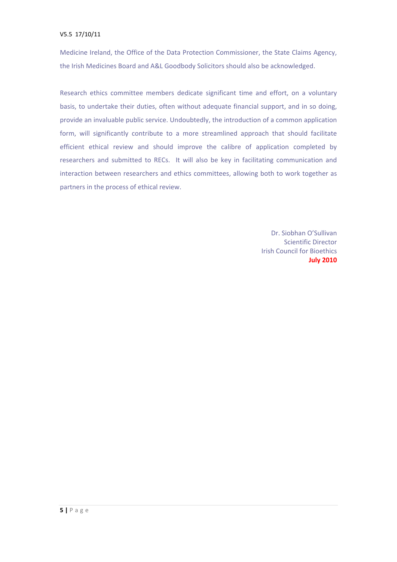Medicine Ireland, the Office of the Data Protection Commissioner, the State Claims Agency, the Irish Medicines Board and A&L Goodbody Solicitors should also be acknowledged.

Research ethics committee members dedicate significant time and effort, on a voluntary basis, to undertake their duties, often without adequate financial support, and in so doing, provide an invaluable public service. Undoubtedly, the introduction of a common application form, will significantly contribute to a more streamlined approach that should facilitate efficient ethical review and should improve the calibre of application completed by researchers and submitted to RECs. It will also be key in facilitating communication and interaction between researchers and ethics committees, allowing both to work together as partners in the process of ethical review.

> Dr. Siobhan O'Sullivan Scientific Director Irish Council for Bioethics **July 2010**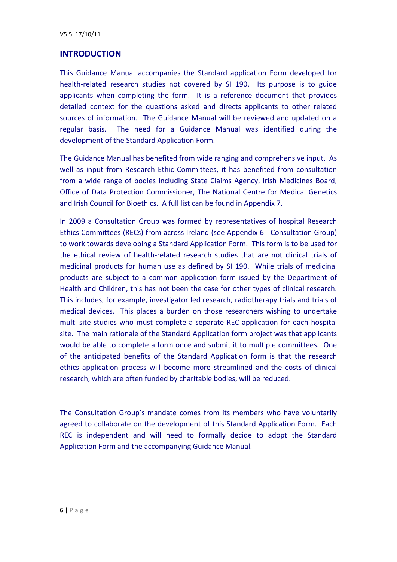# **INTRODUCTION**

This Guidance Manual accompanies the Standard application Form developed for health-related research studies not covered by SI 190. Its purpose is to guide applicants when completing the form. It is a reference document that provides detailed context for the questions asked and directs applicants to other related sources of information. The Guidance Manual will be reviewed and updated on a regular basis. The need for a Guidance Manual was identified during the development of the Standard Application Form.

The Guidance Manual has benefited from wide ranging and comprehensive input. As well as input from Research Ethic Committees, it has benefited from consultation from a wide range of bodies including State Claims Agency, Irish Medicines Board, Office of Data Protection Commissioner, The National Centre for Medical Genetics and Irish Council for Bioethics. A full list can be found in Appendix 7.

In 2009 a Consultation Group was formed by representatives of hospital Research Ethics Committees (RECs) from across Ireland (see Appendix 6 ‐ Consultation Group) to work towards developing a Standard Application Form. This form is to be used for the ethical review of health‐related research studies that are not clinical trials of medicinal products for human use as defined by SI 190. While trials of medicinal products are subject to a common application form issued by the Department of Health and Children, this has not been the case for other types of clinical research. This includes, for example, investigator led research, radiotherapy trials and trials of medical devices. This places a burden on those researchers wishing to undertake multi‐site studies who must complete a separate REC application for each hospital site. The main rationale of the Standard Application form project was that applicants would be able to complete a form once and submit it to multiple committees. One of the anticipated benefits of the Standard Application form is that the research ethics application process will become more streamlined and the costs of clinical research, which are often funded by charitable bodies, will be reduced.

The Consultation Group's mandate comes from its members who have voluntarily agreed to collaborate on the development of this Standard Application Form. Each REC is independent and will need to formally decide to adopt the Standard Application Form and the accompanying Guidance Manual.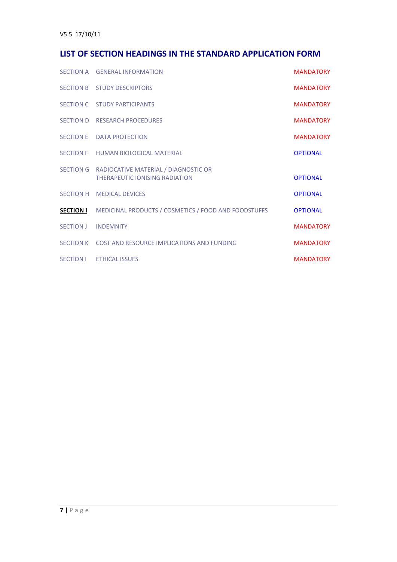# **LIST OF SECTION HEADINGS IN THE STANDARD APPLICATION FORM**

|                  | SECTION A <b>GENERAL INFORMATION</b>                                             | <b>MANDATORY</b> |
|------------------|----------------------------------------------------------------------------------|------------------|
|                  | SECTION B STUDY DESCRIPTORS                                                      | <b>MANDATORY</b> |
|                  | SECTION C STUDY PARTICIPANTS                                                     | <b>MANDATORY</b> |
|                  | SECTION D RESEARCH PROCEDURES                                                    | <b>MANDATORY</b> |
|                  | SECTION E DATA PROTECTION                                                        | <b>MANDATORY</b> |
|                  | SECTION F HUMAN BIOLOGICAL MATERIAL                                              | <b>OPTIONAL</b>  |
|                  | SECTION G RADIOCATIVE MATERIAL / DIAGNOSTIC OR<br>THERAPEUTIC IONISING RADIATION | <b>OPTIONAL</b>  |
| <b>SECTION H</b> | <b>MEDICAL DEVICES</b>                                                           | <b>OPTIONAL</b>  |
| <b>SECTION I</b> | MEDICINAL PRODUCTS / COSMETICS / FOOD AND FOODSTUFFS                             | <b>OPTIONAL</b>  |
| <b>SECTION J</b> | <b>INDEMNITY</b>                                                                 | <b>MANDATORY</b> |
|                  | SECTION K COST AND RESOURCE IMPLICATIONS AND FUNDING                             | <b>MANDATORY</b> |
|                  | SECTION   ETHICAL ISSUES                                                         | <b>MANDATORY</b> |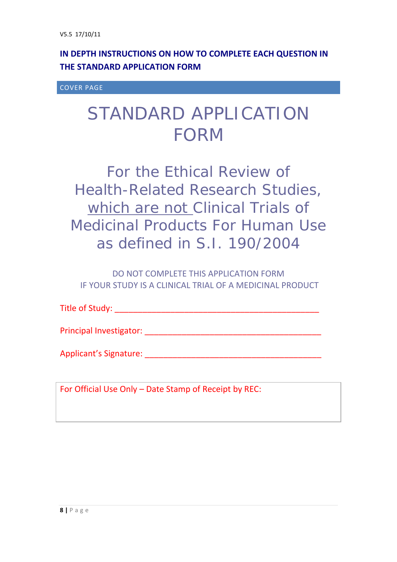# **IN DEPTH INSTRUCTIONS ON HOW TO COMPLETE EACH QUESTION IN THE STANDARD APPLICATION FORM**

COVER PAGE

# STANDARD APPLICATION FORM

# For the Ethical Review of Health-Related Research Studies, which are not Clinical Trials of Medicinal Products For Human Use as defined in S.I. 190/2004

# DO NOT COMPLETE THIS APPLICATION FORM IF YOUR STUDY IS A CLINICAL TRIAL OF A MEDICINAL PRODUCT

Title of Study: The study:

Principal Investigator: \_\_\_\_\_\_\_\_\_\_\_\_\_\_\_\_\_\_\_\_\_\_\_\_\_\_\_\_\_\_\_\_\_\_\_\_\_\_

Applicant's Signature: <u>and</u> the state of the state of the state of the state of the state of the state of the state of the state of the state of the state of the state of the state of the state of the state of the state o

For Official Use Only – Date Stamp of Receipt by REC: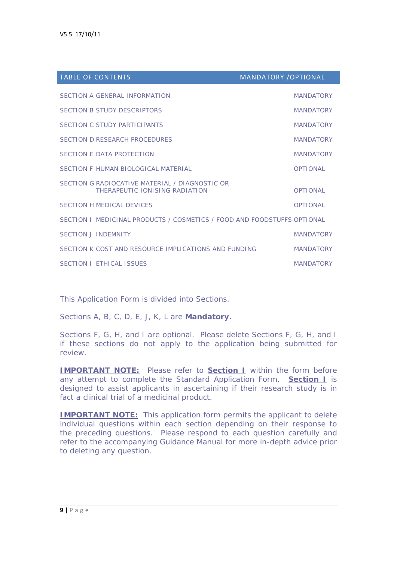| <b>TABLE OF CONTENTS</b>                                                         | MANDATORY / OPTIONAL |
|----------------------------------------------------------------------------------|----------------------|
| SECTION A GENERAL INFORMATION                                                    | <b>MANDATORY</b>     |
| SECTION B STUDY DESCRIPTORS                                                      | <b>MANDATORY</b>     |
| SECTION C STUDY PARTICIPANTS                                                     | <b>MANDATORY</b>     |
| SECTION D RESEARCH PROCEDURES                                                    | <b>MANDATORY</b>     |
| SECTION E DATA PROTECTION                                                        | <b>MANDATORY</b>     |
| SECTION E HUMAN BIOLOGICAL MATERIAL                                              | <b>OPTIONAL</b>      |
| SECTION G RADIOCATIVE MATERIAL / DIAGNOSTIC OR<br>THERAPFUTIC IONISING RADIATION | <b>OPTIONAL</b>      |
| <b>SECTION H MEDICAL DEVICES</b>                                                 | <b>OPTIONAL</b>      |
| SECTION I MEDICINAL PRODUCTS / COSMETICS / FOOD AND FOODSTUFFS OPTIONAL          |                      |
| <b>SECTION J INDEMNITY</b>                                                       | <b>MANDATORY</b>     |
| SECTION K COST AND RESOURCE IMPLICATIONS AND FUNDING                             | <b>MANDATORY</b>     |
| SECTION I FTHICAL ISSUES                                                         | <b>MANDATORY</b>     |

This Application Form is divided into Sections.

Sections A, B, C, D, E, J, K, L are **Mandatory.**

Sections F, G, H, and I are optional. Please delete Sections F, G, H, and I if these sections do not apply to the application being submitted for review.

**IMPORTANT NOTE:** Please refer to **Section I** within the form before any attempt to complete the Standard Application Form. **Section I** is designed to assist applicants in ascertaining if their research study is in fact a clinical trial of a medicinal product.

**IMPORTANT NOTE:** This application form permits the applicant to delete individual questions within each section depending on their response to the preceding questions. Please respond to each question carefully and refer to the accompanying *Guidance Manual* for more in-depth advice prior to deleting any question.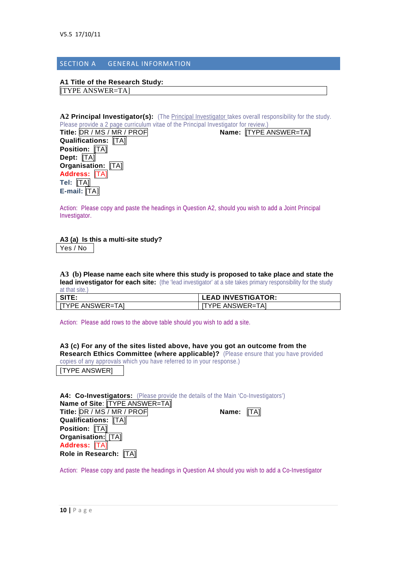#### SECTION A GENERAL INFORMATION

#### **A1 Title of the Research Study:**

[TYPE ANSWER=TA]

A2 Principal Investigator(s): (The Principal Investigator takes overall responsibility for the study. Please provide a 2 page curriculum vitae of the Principal Investigator for review.)

| Title: DR / MS / MR / PROF  | Name: TYPE ANSWER=TA] |
|-----------------------------|-----------------------|
| <b>Qualifications: [TA]</b> |                       |
| <b>Position: [TA]</b>       |                       |
| Dept: [TA]                  |                       |
| Organisation: [TA]          |                       |
| Address: [TA]               |                       |
| Tel: [TA]                   |                       |
| E-mail: [TA]                |                       |

Action: Please copy and paste the headings in Question A2, should you wish to add a Joint Principal Investigator.

# **A3 (a) Is this a multi-site study?**

Yes / No

**A3 (b) Please name each site where this study is proposed to take place and state the lead investigator for each site:** (the 'lead investigator' at a site takes primary responsibility for the study at that site.)

| SITE:                   | <b>LEAD INVESTIGATOR:</b> |
|-------------------------|---------------------------|
| <b>ITYPE ANSWER=TAI</b> | <b>ITYPE ANSWER=TAI</b>   |

Action: Please add rows to the above table should you wish to add a site.

**A3 (c) For any of the sites listed above, have you got an outcome from the Research Ethics Committee (where applicable)?** (Please ensure that you have provided copies of any approvals which you have referred to in your response.) **[TYPE ANSWER]** 

A4: Co-Investigators: (Please provide the details of the Main 'Co-Investigators') **Name of Site**: [TYPE ANSWER=TA] **Title:** DR / MS / MR / PROF **Name:** [TA] **Qualifications:** [TA] **Position:** [TA] **Organisation:** [TA] **Address:** [TA] **Role in Research:** [TA]

Action: Please copy and paste the headings in Question A4 should you wish to add a Co-Investigator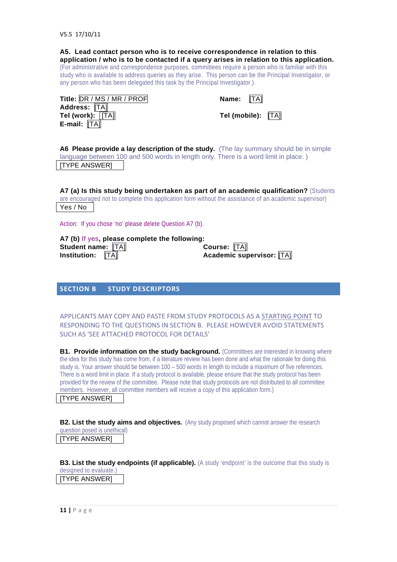**A5. Lead contact person who is to receive correspondence in relation to this application / who is to be contacted if a query arises in relation to this application.** (For administrative and correspondence purposes, committees require a person who is familiar with this study who is available to address queries as they arise. This person can be the Principal Investigator, or any person who has been delegated this task by the Principal Investigator.)

| Title: DR / MS / MR / PROF              | Name: [TA]         |  |
|-----------------------------------------|--------------------|--|
| Address: [TA]                           |                    |  |
| Tel (work): $\vert$ [TA]                | Tel (mobile):  TA] |  |
| E-mail: $\boxed{\mathsf{T} \mathsf{A}}$ |                    |  |

| Name: | [TA] |
|-------|------|

| Tel (mobile): [TA] |  |
|--------------------|--|
|                    |  |
|                    |  |
|                    |  |

**A6 Please provide a lay description of the study.** (The lay summary should be in simple language between 100 and 500 words in length only. There is a word limit in place. ) **ITYPE ANSWERI** 

**A7 (a) Is this study being undertaken as part of an academic qualification?** (Students are encouraged not to complete this application form without the assistance of an academic supervisor) Yes / No

Action: If you chose 'no' please delete Question A7 (b).

| A7 (b) If yes, please complete the following: |                           |
|-----------------------------------------------|---------------------------|
| Student name: [TA]                            | Course: [TA]              |
| <b>Institution:</b> [TA]                      | Academic supervisor: [TA] |

#### **SECTION B STUDY DESCRIPTORS**

APPLICANTS MAY COPY AND PASTE FROM STUDY PROTOCOLS AS A STARTING POINT TO RESPONDING TO THE QUESTIONS IN SECTION B. PLEASE HOWEVER AVOID STATEMENTS SUCH AS 'SEE ATTACHED PROTOCOL FOR DETAILS'

**B1. Provide information on the study background.** (Committees are interested in knowing where the idea for this study has come from, if a literature review has been done and what the rationale for doing this study is. Your answer should be between 100 – 500 words in length to include a maximum of five references. There is a word limit in place. If a study protocol is available, please ensure that the study protocol has been provided for the review of the committee. Please note that study protocols are not distributed to all committee members. However, all committee members will receive a copy of this application form.)

#### [TYPE ANSWER]

|                              | <b>B2. List the study aims and objectives.</b> (Any study proposed which cannot answer the research |
|------------------------------|-----------------------------------------------------------------------------------------------------|
| question posed is unethical) |                                                                                                     |
|                              |                                                                                                     |

**ITYPE ANSWERI** 

**B3. List the study endpoints (if applicable).** (A study 'endpoint' is the outcome that this study is designed to evaluate.) **ITYPE ANSWERI**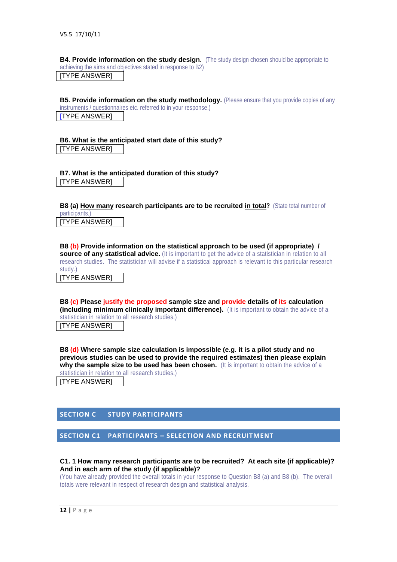**B4. Provide information on the study design.** (The study design chosen should be appropriate to achieving the aims and objectives stated in response to B2) [TYPE ANSWER]

**B5. Provide information on the study methodology.** (Please ensure that you provide copies of any instruments / questionnaires etc. referred to in your response.) **ITYPE ANSWERI** 

#### **B6. What is the anticipated start date of this study?**

**ITYPE ANSWERI** 

**B7. What is the anticipated duration of this study? ITYPE ANSWERI** 

**B8 (a) How many research participants are to be recruited in total? (State total number of** participants.)

[TYPE ANSWER]

**B8 (b) Provide information on the statistical approach to be used (if appropriate) / source of any statistical advice.** (It is important to get the advice of a statistician in relation to all research studies. The statistician will advise if a statistical approach is relevant to this particular research study.)

[TYPE ANSWER]

**B8 (c) Please justify the proposed sample size and provide details of its calculation (including minimum clinically important difference).** (It is important to obtain the advice of a statistician in relation to all research studies.)

**ITYPE ANSWERI** 

**B8 (d) Where sample size calculation is impossible (e.g. it is a pilot study and no previous studies can be used to provide the required estimates) then please explain why the sample size to be used has been chosen.** (It is important to obtain the advice of a statistician in relation to all research studies.)

[TYPE ANSWER]

### **SECTION C STUDY PARTICIPANTS**

**SECTION C1 PARTICIPANTS – SELECTION AND RECRUITMENT**

#### **C1. 1 How many research participants are to be recruited? At each site (if applicable)? And in each arm of the study (if applicable)?**

(You have already provided the overall totals in your response to Question B8 (a) and B8 (b). The overall totals were relevant in respect of research design and statistical analysis.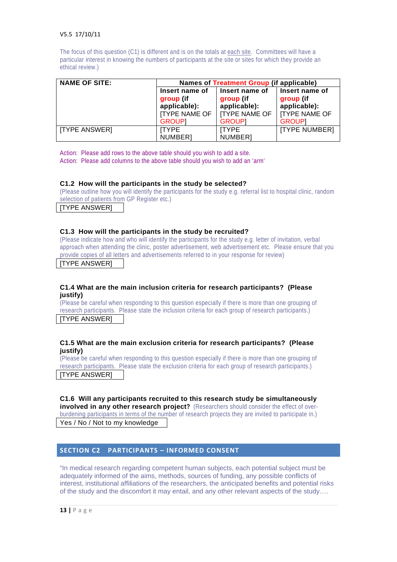The focus of this question (C1) is different and is on the totals at each site. Committees will have a particular interest in knowing the numbers of participants at the site or sites for which they provide an ethical review.)

| <b>NAME OF SITE:</b> | Names of Treatment Group (if applicable) |                         |                      |  |
|----------------------|------------------------------------------|-------------------------|----------------------|--|
|                      | Insert name of                           | Insert name of          | Insert name of       |  |
|                      | group (if                                | group (if               | group (if            |  |
|                      | applicable):                             | applicable):            | applicable):         |  |
|                      | <b>ITYPE NAME OF</b>                     | <b>ITYPE NAME OF</b>    | <b>ITYPE NAME OF</b> |  |
|                      | <b>GROUP</b>                             | <b>GROUPI</b>           | <b>GROUPI</b>        |  |
| <b>[TYPE ANSWER]</b> | <b>ITYPE</b><br>NUMBER]                  | <b>ITYPE</b><br>NUMBER] | [TYPE NUMBER]        |  |

Action: Please add rows to the above table should you wish to add a site. Action: Please add columns to the above table should you wish to add an 'arm'

#### **C1.2 How will the participants in the study be selected?**

(Please outline how you will identify the participants for the study e.g. referral list to hospital clinic, random selection of patients from GP Register etc.)

[TYPE ANSWER]

#### **C1.3 How will the participants in the study be recruited?**

(Please indicate how and who will identify the participants for the study e.g. letter of invitation, verbal approach when attending the clinic, poster advertisement, web advertisement etc. Please ensure that you provide copies of all letters and advertisements referred to in your response for review)

[TYPE ANSWER]

#### **C1.4 What are the main inclusion criteria for research participants? (Please justify)**

(Please be careful when responding to this question especially if there is more than one grouping of research participants. Please state the inclusion criteria for each group of research participants.)

**ITYPE ANSWERI** 

#### **C1.5 What are the main exclusion criteria for research participants? (Please justify)**

(Please be careful when responding to this question especially if there is more than one grouping of research participants. Please state the exclusion criteria for each group of research participants.) **ITYPE ANSWERI** 

**C1.6 Will any participants recruited to this research study be simultaneously involved in any other research project?** (Researchers should consider the effect of overburdening participants in terms of the number of research projects they are invited to participate in.) Yes / No / Not to my knowledge

#### **SECTION C2 PARTICIPANTS – INFORMED CONSENT**

"In medical research regarding competent human subjects, each potential subject must be adequately informed of the aims, methods, sources of funding, any possible conflicts of interest, institutional affiliations of the researchers, the anticipated benefits and potential risks of the study and the discomfort it may entail, and any other relevant aspects of the study….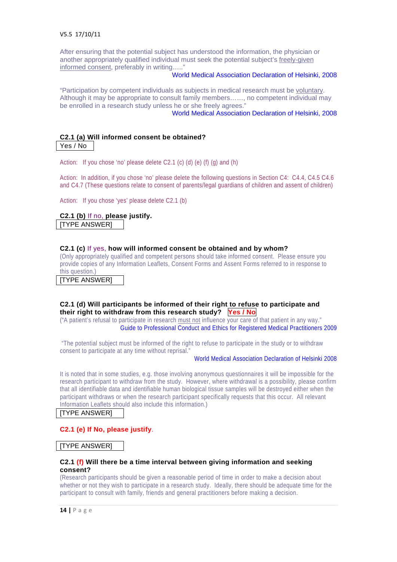After ensuring that the potential subject has understood the information, the physician or another appropriately qualified individual must seek the potential subject's freely-given informed consent, preferably in writing….."

World Medical Association Declaration of Helsinki, 2008

"Participation by competent individuals as subjects in medical research must be voluntary. Although it may be appropriate to consult family members……, no competent individual may be enrolled in a research study unless he or she freely agrees."

World Medical Association Declaration of Helsinki, 2008

#### **C2.1 (a) Will informed consent be obtained?**  Yes / No

Action: If you chose 'no' please delete C2.1 (c) (d) (e) (f) (g) and (h)

Action: In addition, if you chose 'no' please delete the following questions in Section C4: C4.4, C4.5 C4.6 and C4.7 (These questions relate to consent of parents/legal guardians of children and assent of children)

Action: If you chose 'yes' please delete C2.1 (b)

#### **C2.1 (b)** If no, **please justify.**  [TYPE ANSWER]

#### **C2.1 (c)** If yes, **how will informed consent be obtained and by whom?**

(Only appropriately qualified and competent persons should take informed consent. Please ensure you provide copies of any Information Leaflets, Consent Forms and Assent Forms referred to in response to this question.)

[TYPE ANSWER]

#### **C2.1 (d) Will participants be informed of their right to refuse to participate and their right to withdraw from this research study? Yes / No**

("A patient's refusal to participate in research must not influence your care of that patient in any way." Guide to Professional Conduct and Ethics for Registered Medical Practitioners 2009

 "The potential subject must be informed of the right to refuse to participate in the study or to withdraw consent to participate at any time without reprisal."

World Medical Association Declaration of Helsinki 2008

It is noted that in some studies, e.g. those involving anonymous questionnaires it will be impossible for the research participant to withdraw from the study. However, where withdrawal is a possibility, please confirm that all identifiable data and identifiable human biological tissue samples will be destroyed either when the participant withdraws or when the research participant specifically requests that this occur. All relevant Information Leaflets should also include this information.)

[TYPE ANSWER]

#### **C2.1 (e) If No, please justify**.

#### **ITYPE ANSWERI**

#### **C2.1 (f) Will there be a time interval between giving information and seeking consent?**

(Research participants should be given a reasonable period of time in order to make a decision about whether or not they wish to participate in a research study. Ideally, there should be adequate time for the participant to consult with family, friends and general practitioners before making a decision.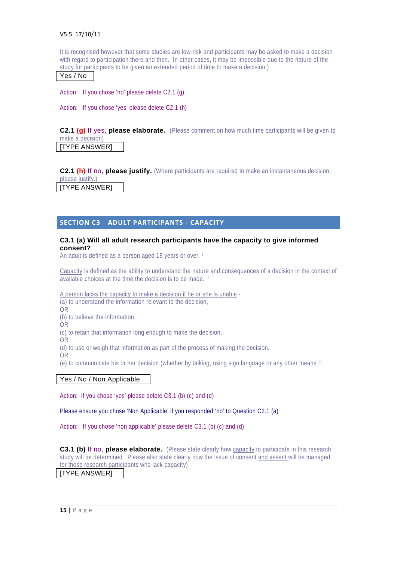It is recognised however that some studies are low-risk and participants may be asked to make a decision with regard to participation there and then. In other cases, it may be impossible due to the nature of the study for participants to be given an extended period of time to make a decision.)

### Yes / No

Action: If you chose 'no' please delete C2.1 (g)

Action: If you chose 'yes' please delete C2.1 (h)

**C2.1 (g)** If yes, **please elaborate.** (Please comment on how much time participants will be given to make a decision)

**ITYPE ANSWER]** 

**C2.1 (h)** If no, **please justify.** (Where participants are required to make an instantaneous decision, please justify.)

[TYPE ANSWER]

#### **SECTION C3 ADULT PARTICIPANTS ‐ CAPACITY**

#### **C3.1 (a) Will all adult research participants have the capacity to give informed consent?**

An adult is defined as a person aged 18 years or over. [I](#page-47-0)

Capacity is defined as the ability to understand the nature and consequences of a decision in the context of available choices at the time the decision is to be made. [II](#page-47-1)

A person lacks the capacity to make a decision if he or she is unable - (a) to understand the information relevant to the decision, OR (b) to believe the information OR (c) to retain that information long enough to make the decision,

OR

(d) to use or weigh that information as part of the process of making the decision,

OR

(e) to communicate his or her decision (whether by talking, using sign language or any other means  $\mathbb{I}$ 

#### Yes / No / Non Applicable

Action: If you chose 'yes' please delete C3.1 (b) (c) and (d)

Please ensure you chose 'Non Applicable' if you responded 'no' to Question C2.1 (a)

Action: If you chose 'non applicable' please delete C3.1 (b) (c) and (d)

**C3.1 (b)** If no, **please elaborate.** (Please state clearly how capacity to participate in this research study will be determined. Please also state clearly how the issue of consent and assent will be managed for those research participants who lack capacity)

[TYPE ANSWER]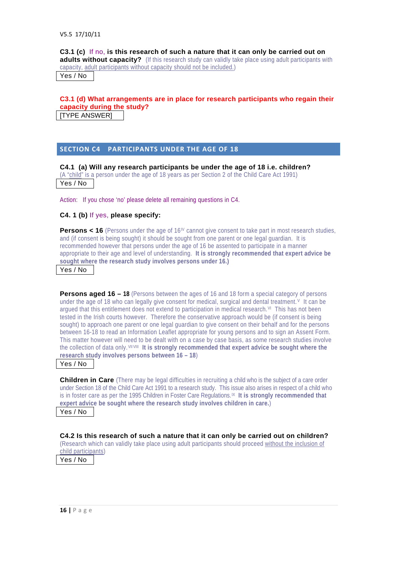**C3.1 (c)** If no, **is this research of such a nature that it can only be carried out on adults without capacity?** (If this research study can validly take place using adult participants with capacity, adult participants without capacity should not be included.)

Yes / No

### **C3.1 (d) What arrangements are in place for research participants who regain their capacity during the study?**

[TYPE ANSWER]

#### **SECTION C4 PARTICIPANTS UNDER THE AGE OF 18**

**C4.1 (a) Will any research participants be under the age of 18 i.e. children?**  (A "child" is a person under the age of 18 years as per Section 2 of the Child Care Act 1991) Yes / No

Action: If you chose 'no' please delete all remaining questions in C4.

#### **C4. 1 (b)** If yes, **please specify:**

**Persons**  $\leq$  **16** (Persons under the age of 16<sup>[IV](#page-47-3)</sup> cannot give consent to take part in most research studies, and (if consent is being sought) it should be sought from one parent or one legal guardian. It is recommended however that persons under the age of 16 be assented to participate in a manner appropriate to their age and level of understanding. **It is strongly recommended that expert advice be sought where the research study involves persons under 16.)**

Yes / No

**Persons aged 16 – 18** (Persons between the ages of 16 and 18 form a special category of persons under the age of 18 who can legally give consent for medical, surgical and dental treatment. [V](#page-48-0) It can be argued that this entitlement does not extend to participation in medical research.<sup>[VI](#page-48-1)</sup> This has not been tested in the Irish courts however. Therefore the conservative approach would be (if consent is being sought) to approach one parent or one legal guardian to give consent on their behalf and for the persons between 16-18 to read an Information Leaflet appropriate for young persons and to sign an Assent Form. This matter however will need to be dealt with on a case by case basis, as some research studies involve the collection of data only. VII [VIII](#page-48-2) **It is strongly recommended that expert advice be sought where the research study involves persons between 16 – 18**)

#### Yes / No

**Children in Care** (There may be legal difficulties in recruiting a child who is the subject of a care order under Section 18 of the Child Care Act 1991 to a research study. This issue also arises in respect of a child who is in foster care as per the 1995 Children in Foster Care Regulations.<sup>[X]</sup> It is strongly recommended that **expert advice be sought where the research study involves children in care.**)

Yes / No

**C4.2 Is this research of such a nature that it can only be carried out on children?** (Research which can validly take place using adult participants should proceed without the inclusion of child participants) Yes / No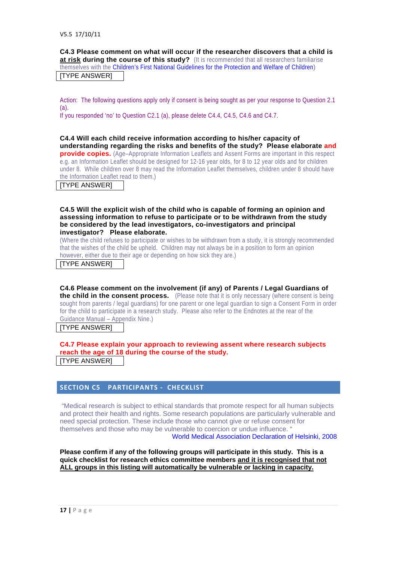**C4.3 Please comment on what will occur if the researcher discovers that a child is at risk during the course of this study?** (It is recommended that all researchers familiarise themselves with the Children's First National Guidelines for the Protection and Welfare of Children) [TYPE ANSWER]

Action: The following questions apply only if consent is being sought as per your response to Question 2.1 (a).

If you responded 'no' to Question C2.1 (a), please delete C4.4, C4.5, C4.6 and C4.7.

**C4.4 Will each child receive information according to his/her capacity of understanding regarding the risks and benefits of the study? Please elaborate and provide copies.** (Age–Appropriate Information Leaflets and Assent Forms are important in this respect e.g. an Information Leaflet should be designed for 12-16 year olds, for 8 to 12 year olds and for children under 8. While children over 8 may read the Information Leaflet themselves, children under 8 should have the Information Leaflet read to them.)

#### [TYPE ANSWER]

#### **C4.5 Will the explicit wish of the child who is capable of forming an opinion and assessing information to refuse to participate or to be withdrawn from the study be considered by the lead investigators, co-investigators and principal investigator? Please elaborate.**

(Where the child refuses to participate or wishes to be withdrawn from a study, it is strongly recommended that the wishes of the child be upheld. Children may not always be in a position to form an opinion however, either due to their age or depending on how sick they are.)

**ITYPE ANSWERI** 

**C4.6 Please comment on the involvement (if any) of Parents / Legal Guardians of the child in the consent process.** (Please note that it is only necessary (where consent is being sought from parents / legal guardians) for one parent or one legal guardian to sign a Consent Form in order for the child to participate in a research study. Please also refer to the Endnotes at the rear of the Guidance Manual – Appendix Nine.)

[TYPE ANSWER]

**C4.7 Please explain your approach to reviewing assent where research subjects reach the age of 18 during the course of the study.**  [TYPE ANSWER]

#### **SECTION C5 PARTICIPANTS ‐ CHECKLIST**

 "Medical research is subject to ethical standards that promote respect for all human subjects and protect their health and rights. Some research populations are particularly vulnerable and need special protection. These include those who cannot give or refuse consent for themselves and those who may be vulnerable to coercion or undue influence. " World Medical Association Declaration of Helsinki, 2008

**Please confirm if any of the following groups will participate in this study. This is a quick checklist for research ethics committee members and it is recognised that not ALL groups in this listing will automatically be vulnerable or lacking in capacity.**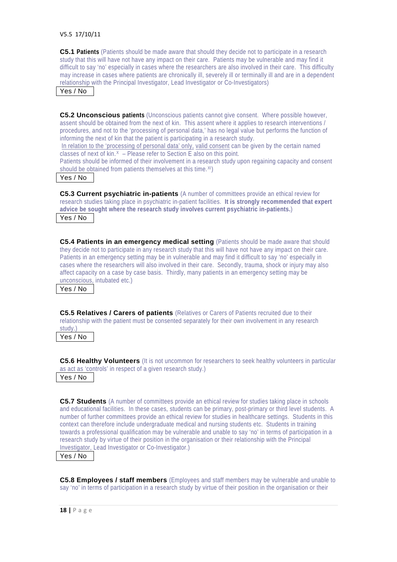**C5.1 Patients** (Patients should be made aware that should they decide not to participate in a research study that this will have not have any impact on their care. Patients may be vulnerable and may find it difficult to say 'no' especially in cases where the researchers are also involved in their care. This difficulty may increase in cases where patients are chronically ill, severely ill or terminally ill and are in a dependent relationship with the Principal Investigator, Lead Investigator or Co-Investigators)

#### Yes / No

**C5.2 Unconscious patients** (Unconscious patients cannot give consent. Where possible however, assent should be obtained from the next of kin. This assent where it applies to research interventions / procedures, and not to the 'processing of personal data,' has no legal value but performs the function of informing the next of kin that the patient is participating in a research study.

In relation to the 'processing of personal data' only, valid consent can be given by the certain named classes of next of kin. $X X -$  Please refer to Section E also on this point.

Patients should be informed of their involvement in a research study upon regaining capacity and consent should be obtained from patients themselves at this time. $X(1)$ 

Yes / No

**C5.3 Current psychiatric in-patients** (A number of committees provide an ethical review for research studies taking place in psychiatric in-patient facilities. **It is strongly recommended that expert advice be sought where the research study involves current psychiatric in-patients.**) Yes / No

**C5.4 Patients in an emergency medical setting** (Patients should be made aware that should they decide not to participate in any research study that this will have not have any impact on their care. Patients in an emergency setting may be in vulnerable and may find it difficult to say 'no' especially in cases where the researchers will also involved in their care. Secondly, trauma, shock or injury may also affect capacity on a case by case basis. Thirdly, many patients in an emergency setting may be unconscious, intubated etc.)

Yes / No

**C5.5 Relatives / Carers of patients** (Relatives or Carers of Patients recruited due to their relationship with the patient must be consented separately for their own involvement in any research study.)

Yes / No

**C5.6 Healthy Volunteers** (It is not uncommon for researchers to seek healthy volunteers in particular as act as 'controls' in respect of a given research study.)

Yes / No

**C5.7 Students** (A number of committees provide an ethical review for studies taking place in schools and educational facilities. In these cases, students can be primary, post-primary or third level students. A number of further committees provide an ethical review for studies in healthcare settings. Students in this context can therefore include undergraduate medical and nursing students etc. Students in training towards a professional qualification may be vulnerable and unable to say 'no' in terms of participation in a research study by virtue of their position in the organisation or their relationship with the Principal Investigator, Lead Investigator or Co-Investigator.)

Yes / No

**C5.8 Employees / staff members** (Employees and staff members may be vulnerable and unable to say 'no' in terms of participation in a research study by virtue of their position in the organisation or their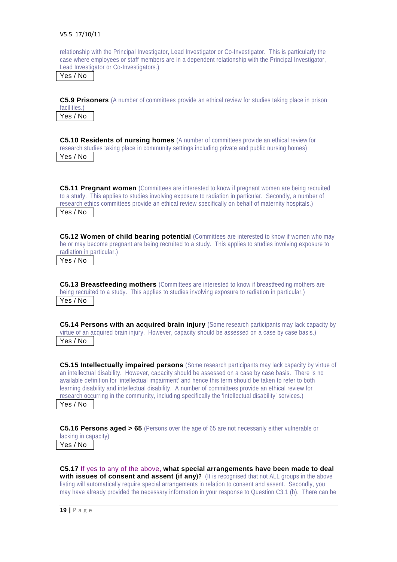relationship with the Principal Investigator, Lead Investigator or Co-Investigator. This is particularly the case where employees or staff members are in a dependent relationship with the Principal Investigator, Lead Investigator or Co-Investigators.)

**C5.9 Prisoners** (A number of committees provide an ethical review for studies taking place in prison facilities.)

| ÷ | $\prime$ |  |
|---|----------|--|
|   |          |  |

**C5.10 Residents of nursing homes** (A number of committees provide an ethical review for research studies taking place in community settings including private and public nursing homes) Yes / No

**C5.11 Pregnant women** (Committees are interested to know if pregnant women are being recruited to a study. This applies to studies involving exposure to radiation in particular. Secondly, a number of research ethics committees provide an ethical review specifically on behalf of maternity hospitals.) Yes / No

**C5.12 Women of child bearing potential** (Committees are interested to know if women who may be or may become pregnant are being recruited to a study. This applies to studies involving exposure to radiation in particular.)

Yes / No

**C5.13 Breastfeeding mothers** (Committees are interested to know if breastfeeding mothers are being recruited to a study. This applies to studies involving exposure to radiation in particular.) Yes / No

**C5.14 Persons with an acquired brain injury** (Some research participants may lack capacity by virtue of an acquired brain injury. However, capacity should be assessed on a case by case basis.) Yes / No

**C5.15 Intellectually impaired persons** (Some research participants may lack capacity by virtue of an intellectual disability. However, capacity should be assessed on a case by case basis. There is no available definition for 'intellectual impairment' and hence this term should be taken to refer to both learning disability and intellectual disability. A number of committees provide an ethical review for research occurring in the community, including specifically the 'intellectual disability' services.) Yes / No

**C5.16 Persons aged > 65** (Persons over the age of 65 are not necessarily either vulnerable or lacking in capacity) Yes / No

**C5.17** If yes to any of the above, **what special arrangements have been made to deal**  with issues of consent and assent (if any)? (It is recognised that not ALL groups in the above listing will automatically require special arrangements in relation to consent and assent. Secondly, you may have already provided the necessary information in your response to Question C3.1 (b). There can be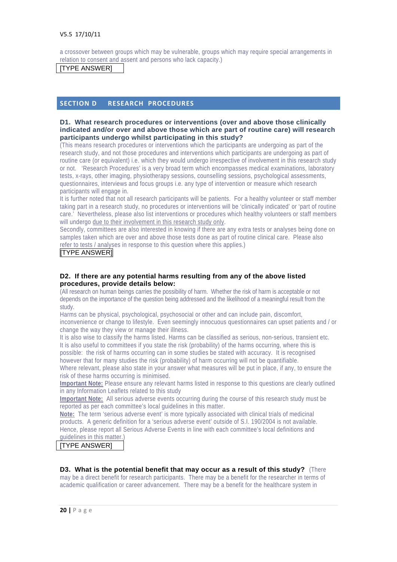a crossover between groups which may be vulnerable, groups which may require special arrangements in relation to consent and assent and persons who lack capacity.)

[TYPE ANSWER]

#### **SECTION D RESEARCH PROCEDURES**

#### **D1. What research procedures or interventions (over and above those clinically indicated and/or over and above those which are part of routine care) will research participants undergo whilst participating in this study?**

(This means research procedures or interventions which the participants are undergoing as part of the research study, and not those procedures and interventions which participants are undergoing as part of routine care (or equivalent) i.e. which they would undergo irrespective of involvement in this research study or not. 'Research Procedures' is a very broad term which encompasses medical examinations, laboratory tests, x-rays, other imaging, physiotherapy sessions, counselling sessions, psychological assessments, questionnaires, interviews and focus groups i.e. any type of intervention or measure which research participants will engage in.

It is further noted that not all research participants will be patients. For a healthy volunteer or staff member taking part in a research study, no procedures or interventions will be 'clinically indicated' or 'part of routine care.' Nevertheless, please also list interventions or procedures which healthy volunteers or staff members will undergo due to their involvement in this research study only.

Secondly, committees are also interested in knowing if there are any extra tests or analyses being done on samples taken which are over and above those tests done as part of routine clinical care. Please also refer to tests / analyses in response to this question where this applies.)

#### **ITYPE ANSWERI**

#### **D2. If there are any potential harms resulting from any of the above listed procedures, provide details below:**

(All research on human beings carries the possibility of harm. Whether the risk of harm is acceptable or not depends on the importance of the question being addressed and the likelihood of a meaningful result from the study.

Harms can be physical, psychological, psychosocial or other and can include pain, discomfort, inconvenience or change to lifestyle. Even seemingly innocuous questionnaires can upset patients and / or change the way they view or manage their illness.

It is also wise to classify the harms listed. Harms can be classified as serious, non-serious, transient etc. It is also useful to committees if you state the risk (probability) of the harms occurring, where this is possible: the risk of harms occurring can in some studies be stated with accuracy. It is recognised however that for many studies the risk (probability) of harm occurring will not be quantifiable.

Where relevant, please also state in your answer what measures will be put in place, if any, to ensure the risk of these harms occurring is minimised.

**Important Note:** Please ensure any relevant harms listed in response to this questions are clearly outlined in any Information Leaflets related to this study

**Important Note:** All serious adverse events occurring during the course of this research study must be reported as per each committee's local guidelines in this matter.

**Note:** The term 'serious adverse event' is more typically associated with clinical trials of medicinal products. A generic definition for a 'serious adverse event' outside of S.I. 190/2004 is not available. Hence, please report all Serious Adverse Events in line with each committee's local definitions and guidelines in this matter.)

#### [TYPE ANSWER]

#### **D3. What is the potential benefit that may occur as a result of this study?** (There

may be a direct benefit for research participants. There may be a benefit for the researcher in terms of academic qualification or career advancement. There may be a benefit for the healthcare system in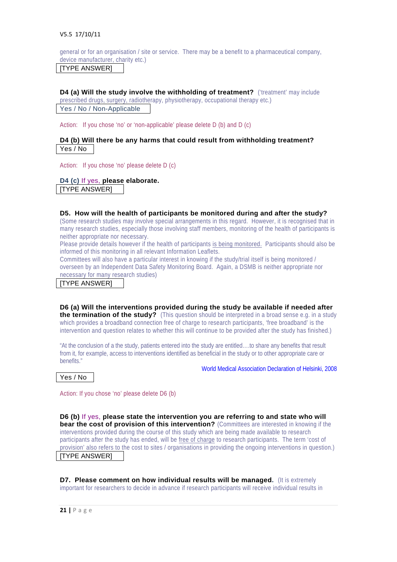general or for an organisation / site or service. There may be a benefit to a pharmaceutical company, device manufacturer, charity etc.)

#### [TYPE ANSWER]

**D4 (a) Will the study involve the withholding of treatment?** ('treatment' may include prescribed drugs, surgery, radiotherapy, physiotherapy, occupational therapy etc.) Yes / No / Non-Applicable

Action: If you chose 'no' or 'non-applicable' please delete D (b) and D (c)

#### **D4 (b) Will there be any harms that could result from withholding treatment?**  Yes / No

Action: If you chose 'no' please delete D (c)

#### **D4 (c)** If yes, **please elaborate.**  [TYPE ANSWER]

#### **D5. How will the health of participants be monitored during and after the study?**

(Some research studies may involve special arrangements in this regard. However, it is recognised that in many research studies, especially those involving staff members, monitoring of the health of participants is neither appropriate nor necessary.

Please provide details however if the health of participants is being monitored. Participants should also be informed of this monitoring in all relevant Information Leaflets.

Committees will also have a particular interest in knowing if the study/trial itself is being monitored / overseen by an Independent Data Safety Monitoring Board. Again, a DSMB is neither appropriate nor necessary for many research studies)

#### [TYPE ANSWER]

**D6 (a) Will the interventions provided during the study be available if needed after the termination of the study?** (This question should be interpreted in a broad sense e.g. in a study which provides a broadband connection free of charge to research participants, 'free broadband' is the intervention and question relates to whether this will continue to be provided after the study has finished.)

"At the conclusion of a the study, patients entered into the study are entitled….to share any benefits that result from it, for example, access to interventions identified as beneficial in the study or to other appropriate care or benefits."

World Medical Association Declaration of Helsinki, 2008

#### Yes / No

Action: If you chose 'no' please delete D6 (b)

**D6 (b)** If yes, **please state the intervention you are referring to and state who will bear the cost of provision of this intervention?** (Committees are interested in knowing if the interventions provided during the course of this study which are being made available to research participants after the study has ended, will be free of charge to research participants. The term 'cost of provision' also refers to the cost to sites / organisations in providing the ongoing interventions in question.) [TYPE ANSWER]

**D7. Please comment on how individual results will be managed.** (It is extremely important for researchers to decide in advance if research participants will receive individual results in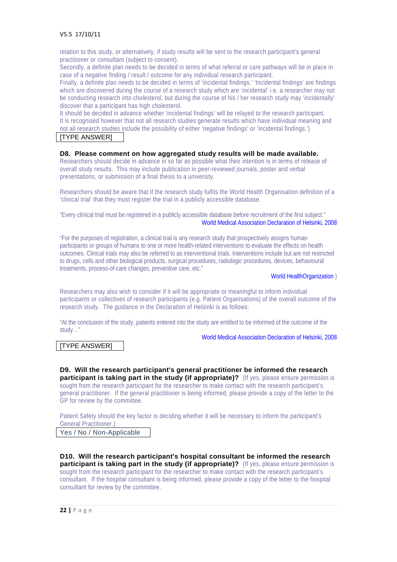relation to this study, or alternatively, if study results will be sent to the research participant's general practitioner or consultant (subject to consent).

Secondly, a definite plan needs to be decided in terms of what referral or care pathways will be in place in case of a negative finding / result / outcome for any individual research participant.

Finally, a definite plan needs to be decided in terms of 'incidental findings.' 'Incidental findings' are findings which are discovered during the course of a research study which are 'incidental' i.e. a researcher may not be conducting research into cholesterol, but during the course of his / her research study may 'incidentally' discover that a participant has high cholesterol.

It should be decided in advance whether 'incidental findings' will be relayed to the research participant. It is recognised however that not all research studies generate results which have individual meaning and not all research studies include the possibility of either 'negative findings' or 'incidental findings.')

#### **ITYPE ANSWERI**

#### **D8. Please comment on how aggregated study results will be made available.**

Researchers should decide in advance in so far as possible what their intention is in terms of release of overall study results. This may include publication in peer-reviewed journals, poster and verbal presentations, or submission of a final thesis to a university.

Researchers should be aware that if the research study fulfils the World Health Organisation definition of a 'clinical trial' that they must register the trial in a publicly accessible database.

"Every clinical trial must be registered in a publicly accessible database before recruitment of the first subject." World Medical Association Declaration of Helsinki, 2008

"For the purposes of registration, a clinical trial is any research study that prospectively assigns human participants or groups of humans to one or more health-related interventions to evaluate the effects on health outcomes. Clinical trials may also be referred to as interventional trials. Interventions include but are not restricted to drugs, cells and other biological products, surgical procedures, radiologic procedures, devices, behavioural treatments, process-of-care changes, preventive care, etc."

#### World HealthOrganization )

Researchers may also wish to consider if it will be appropriate or meaningful to inform individual participants or collectives of research participants (e.g. Patient Organisations) of the overall outcome of the research study. The guidance in the Declaration of Helsinki is as follows:

"At the conclusion of the study, patients entered into the study are entitled to be informed of the outcome of the study…"

[TYPE ANSWER]

World Medical Association Declaration of Helsinki, 2008

**D9. Will the research participant's general practitioner be informed the research participant is taking part in the study (if appropriate)?** (If yes, please ensure permission is sought from the research participant for the researcher to make contact with the research participant's general practitioner. If the general practitioner is being informed, please provide a copy of the letter to the GP for review by the committee.

Patient Safety should the key factor is deciding whether it will be necessary to inform the participant's General Practitioner.)

Yes / No / Non-Applicable

**D10. Will the research participant's hospital consultant be informed the research participant is taking part in the study (if appropriate)?** (If yes, please ensure permission is sought from the research participant for the researcher to make contact with the research participant's consultant. If the hospital consultant is being informed, please provide a copy of the letter to the hospital consultant for review by the committee.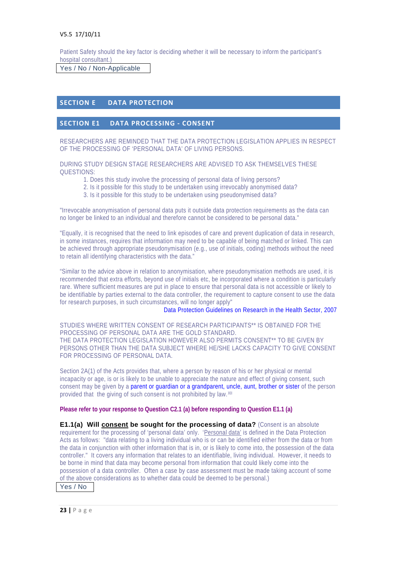Patient Safety should the key factor is deciding whether it will be necessary to inform the participant's hospital consultant.)

Yes / No / Non-Applicable

### **SECTION E DATA PROTECTION**

#### **SECTION E1 DATA PROCESSING ‐ CONSENT**

RESEARCHERS ARE REMINDED THAT THE DATA PROTECTION LEGISLATION APPLIES IN RESPECT OF THE PROCESSING OF 'PERSONAL DATA' OF LIVING PERSONS.

DURING STUDY DESIGN STAGE RESEARCHERS ARE ADVISED TO ASK THEMSELVES THESE QUESTIONS:

- 1. Does this study involve the processing of personal data of living persons?
- 2. Is it possible for this study to be undertaken using irrevocably anonymised data?
- 3. Is it possible for this study to be undertaken using pseudonymised data?

"Irrevocable anonymisation of personal data puts it outside data protection requirements as the data can no longer be linked to an individual and therefore cannot be considered to be personal data."

"Equally, it is recognised that the need to link episodes of care and prevent duplication of data in research, in some instances, requires that information may need to be capable of being matched or linked. This can be achieved through appropriate pseudonymisation (e.g., use of initials, coding) methods without the need to retain all identifying characteristics with the data."

"Similar to the advice above in relation to anonymisation, where pseudonymisation methods are used, it is recommended that extra efforts, beyond use of initials etc, be incorporated where a condition is particularly rare. Where sufficient measures are put in place to ensure that personal data is not accessible or likely to be identifiable by parties external to the data controller, the requirement to capture consent to use the data for research purposes, in such circumstances, will no longer apply"

#### Data Protection Guidelines on Research in the Health Sector, 2007

STUDIES WHERE WRITTEN CONSENT OF RESEARCH PARTICIPANTS\*\* IS OBTAINED FOR THE PROCESSING OF PERSONAL DATA ARE THE GOLD STANDARD. THE DATA PROTECTION LEGISLATION HOWEVER ALSO PERMITS CONSENT\*\* TO BE GIVEN BY PERSONS OTHER THAN THE DATA SUBJECT WHERE HE/SHE LACKS CAPACITY TO GIVE CONSENT FOR PROCESSING OF PERSONAL DATA.

Section 2A(1) of the Acts provides that, where a person by reason of his or her physical or mental incapacity or age, is or is likely to be unable to appreciate the nature and effect of giving consent, such consent may be given by a parent or guardian or a grandparent, uncle, aunt, brother or sister of the person provided that the giving of such consent is not prohibited by law.[XII](#page-48-6)

#### **Please refer to your response to Question C2.1 (a) before responding to Question E1.1 (a)**

**E1.1(a) Will consent be sought for the processing of data?** (Consent is an absolute requirement for the processing of 'personal data' only. 'Personal data' is defined in the Data Protection Acts as follows: "data relating to a living individual who is or can be identified either from the data or from the data in conjunction with other information that is in, or is likely to come into, the possession of the data controller." It covers any information that relates to an identifiable, living individual. However, it needs to be borne in mind that data may become personal from information that could likely come into the possession of a data controller. Often a case by case assessment must be made taking account of some of the above considerations as to whether data could be deemed to be personal.)

Yes / No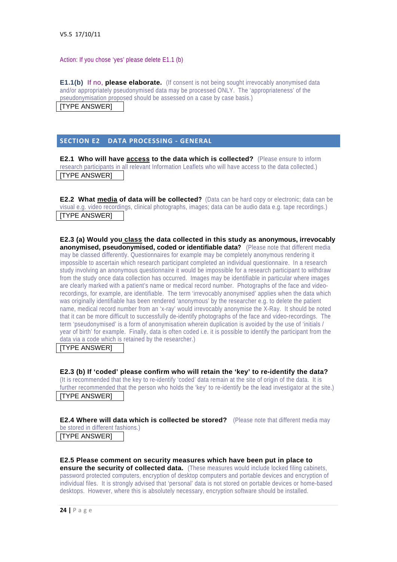Action: If you chose 'yes' please delete E1.1 (b)

**E1.1(b)** If no, **please elaborate.** (If consent is not being sought irrevocably anonymised data and/or appropriately pseudonymised data may be processed ONLY. The 'appropriateness' of the pseudonymisation proposed should be assessed on a case by case basis.)

[TYPE ANSWER]

#### **SECTION E2 DATA PROCESSING ‐ GENERAL**

**E2.1 Who will have access to the data which is collected?** (Please ensure to inform research participants in all relevant Information Leaflets who will have access to the data collected.) [TYPE ANSWER]

**E2.2 What media of data will be collected?** (Data can be hard copy or electronic; data can be visual e.g. video recordings, clinical photographs, images; data can be audio data e.g. tape recordings.) [TYPE ANSWER]

**E2.3 (a) Would you class the data collected in this study as anonymous, irrevocably anonymised, pseudonymised, coded or identifiable data?** (Please note that different media may be classed differently. Questionnaires for example may be completely anonymous rendering it impossible to ascertain which research participant completed an individual questionnaire. In a research study involving an anonymous questionnaire it would be impossible for a research participant to withdraw from the study once data collection has occurred. Images may be identifiable in particular where images are clearly marked with a patient's name or medical record number. Photographs of the face and videorecordings, for example, are identifiable. The term 'irrevocably anonymised' applies when the data which was originally identifiable has been rendered 'anonymous' by the researcher e.g. to delete the patient name, medical record number from an 'x-ray' would irrevocably anonymise the X-Ray. It should be noted that it can be more difficult to successfully de-identify photographs of the face and video-recordings. The term 'pseudonymised' is a form of anonymisation wherein duplication is avoided by the use of 'initials / year of birth' for example. Finally, data is often coded i.e. it is possible to identify the participant from the data via a code which is retained by the researcher.)

**ITYPE ANSWERI** 

**E2.3 (b) If 'coded' please confirm who will retain the 'key' to re-identify the data?**  (It is recommended that the key to re-identify 'coded' data remain at the site of origin of the data. It is further recommended that the person who holds the 'key' to re-identify be the lead investigator at the site.) [TYPE ANSWER]

**E2.4 Where will data which is collected be stored?** (Please note that different media may be stored in different fashions.)

**ITYPE ANSWERI** 

**E2.5 Please comment on security measures which have been put in place to ensure the security of collected data.** (These measures would include locked filing cabinets, password protected computers, encryption of desktop computers and portable devices and encryption of individual files. It is strongly advised that 'personal' data is not stored on portable devices or home-based desktops. However, where this is absolutely necessary, encryption software should be installed.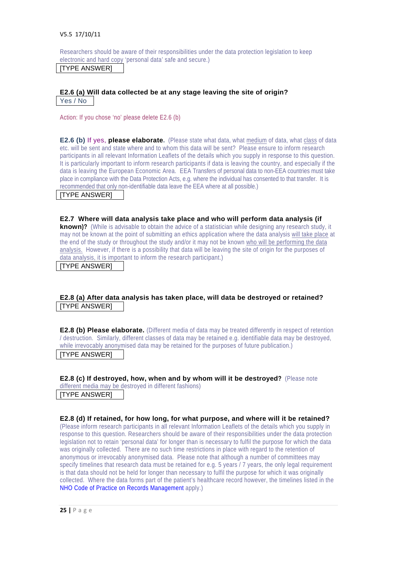Researchers should be aware of their responsibilities under the data protection legislation to keep electronic and hard copy 'personal data' safe and secure.)

#### [TYPE ANSWER]

#### **E2.6 (a) Will data collected be at any stage leaving the site of origin?**  Yes / No

Action: If you chose 'no' please delete E2.6 (b)

**E2.6 (b)** If yes, **please elaborate.** (Please state what data, what medium of data, what class of data etc. will be sent and state where and to whom this data will be sent? Please ensure to inform research participants in all relevant Information Leaflets of the details which you supply in response to this question. It is particularly important to inform research participants if data is leaving the country, and especially if the data is leaving the European Economic Area. EEA Transfers of personal data to non-EEA countries must take place in compliance with the Data Protection Acts, e.g. where the individual has consented to that transfer. It is recommended that only non-identifiable data leave the EEA where at all possible.)

#### **ITYPE ANSWERI**

**E2.7 Where will data analysis take place and who will perform data analysis (if known)?** (While is advisable to obtain the advice of a statistician while designing any research study, it may not be known at the point of submitting an ethics application where the data analysis will take place at the end of the study or throughout the study and/or it may not be known who will be performing the data analysis. However, if there is a possibility that data will be leaving the site of origin for the purposes of data analysis, it is important to inform the research participant.)

[TYPE ANSWER]

#### **E2.8 (a) After data analysis has taken place, will data be destroyed or retained?**  [TYPE ANSWER]

**E2.8 (b) Please elaborate.** (Different media of data may be treated differently in respect of retention / destruction. Similarly, different classes of data may be retained e.g. identifiable data may be destroyed, while irrevocably anonymised data may be retained for the purposes of future publication.) [TYPE ANSWER]

**E2.8 (c) If destroyed, how, when and by whom will it be destroyed?** (Please note different media may be destroyed in different fashions) **ITYPE ANSWERI** 

**E2.8 (d) If retained, for how long, for what purpose, and where will it be retained?**  (Please inform research participants in all relevant Information Leaflets of the details which you supply in response to this question. Researchers should be aware of their responsibilities under the data protection legislation not to retain 'personal data' for longer than is necessary to fulfil the purpose for which the data was originally collected. There are no such time restrictions in place with regard to the retention of anonymous or irrevocably anonymised data. Please note that although a number of committees may specify timelines that research data must be retained for e.g. 5 years / 7 years, the only legal requirement is that data should not be held for longer than necessary to fulfil the purpose for which it was originally collected. Where the data forms part of the patient's healthcare record however, the timelines listed in the NHO Code of Practice on Records Management apply.)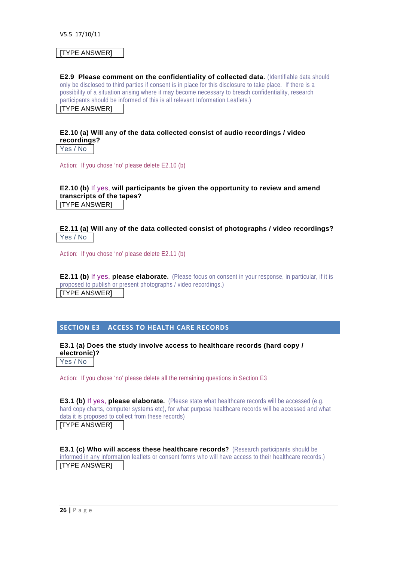#### **ITYPE ANSWERI**

**E2.9 Please comment on the confidentiality of collected data.** (Identifiable data should only be disclosed to third parties if consent is in place for this disclosure to take place. If there is a possibility of a situation arising where it may become necessary to breach confidentiality, research participants should be informed of this is all relevant Information Leaflets.) **ITYPE ANSWERI** 

#### **E2.10 (a) Will any of the data collected consist of audio recordings / video recordings?**

Yes / No

Action: If you chose 'no' please delete E2.10 (b)

#### **E2.10 (b)** If yes, **will participants be given the opportunity to review and amend transcripts of the tapes?**  [TYPE ANSWER]

#### **E2.11 (a) Will any of the data collected consist of photographs / video recordings?**  Yes / No

Action: If you chose 'no' please delete E2.11 (b)

**E2.11 (b)** If yes, **please elaborate**. (Please focus on consent in your response, in particular, if it is proposed to publish or present photographs / video recordings.) [TYPE ANSWER]

#### **SECTION E3 ACCESS TO HEALTH CARE RECORDS**

#### **E3.1 (a) Does the study involve access to healthcare records (hard copy / electronic)?**

Yes / No

Action: If you chose 'no' please delete all the remaining questions in Section E3

**E3.1 (b)** If yes, **please elaborate**. (Please state what healthcare records will be accessed (e.g. hard copy charts, computer systems etc), for what purpose healthcare records will be accessed and what data it is proposed to collect from these records)

[TYPE ANSWER]

**E3.1 (c) Who will access these healthcare records?** (Research participants should be informed in any information leaflets or consent forms who will have access to their healthcare records.) [TYPE ANSWER]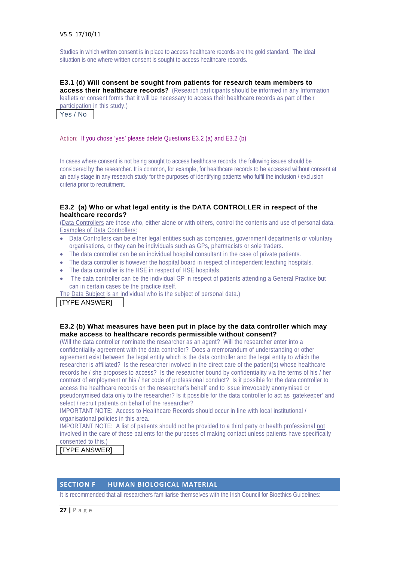Studies in which written consent is in place to access healthcare records are the gold standard. The ideal situation is one where written consent is sought to access healthcare records.

# **E3.1 (d) Will consent be sought from patients for research team members to**

**access their healthcare records?** (Research participants should be informed in any Information leaflets or consent forms that it will be necessary to access their healthcare records as part of their participation in this study.)

Yes / No

#### Action: If you chose 'yes' please delete Questions E3.2 (a) and E3.2 (b)

In cases where consent is not being sought to access healthcare records, the following issues should be considered by the researcher. It is common, for example, for healthcare records to be accessed without consent at an early stage in any research study for the purposes of identifying patients who fulfil the inclusion / exclusion criteria prior to recruitment.

#### **E3.2 (a) Who or what legal entity is the DATA CONTROLLER in respect of the healthcare records?**

(Data Controllers are those who, either alone or with others, control the contents and use of personal data. Examples of Data Controllers:

- Data Controllers can be either legal entities such as companies, government departments or voluntary organisations, or they can be individuals such as GPs, pharmacists or sole traders.
- The data controller can be an individual hospital consultant in the case of private patients.
- The data controller is however the hospital board in respect of independent teaching hospitals.
- The data controller is the HSE in respect of HSE hospitals.
- The data controller can be the individual GP in respect of patients attending a General Practice but can in certain cases be the practice itself.

The Data Subject is an individual who is the subject of personal data.)

#### [TYPE ANSWER]

#### **E3.2 (b) What measures have been put in place by the data controller which may make access to healthcare records permissible without consent?**

(Will the data controller nominate the researcher as an agent? Will the researcher enter into a confidentiality agreement with the data controller? Does a memorandum of understanding or other agreement exist between the legal entity which is the data controller and the legal entity to which the researcher is affiliated? Is the researcher involved in the direct care of the patient(s) whose healthcare records he / she proposes to access? Is the researcher bound by confidentiality via the terms of his / her contract of employment or his / her code of professional conduct? Is it possible for the data controller to access the healthcare records on the researcher's behalf and to issue irrevocably anonymised or pseudonymised data only to the researcher? Is it possible for the data controller to act as 'gatekeeper' and select / recruit patients on behalf of the researcher?

IMPORTANT NOTE: Access to Healthcare Records should occur in line with local institutional / organisational policies in this area.

IMPORTANT NOTE: A list of patients should not be provided to a third party or health professional not involved in the care of these patients for the purposes of making contact unless patients have specifically consented to this.)

#### **ITYPE ANSWERI**

#### **SECTION F HUMAN BIOLOGICAL MATERIAL**

It is recommended that all researchers familiarise themselves with the Irish Council for Bioethics Guidelines: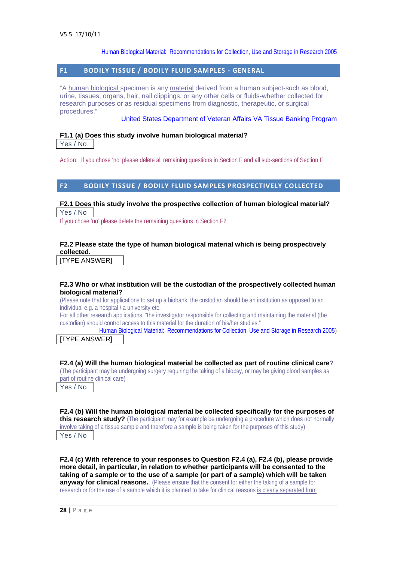#### Human Biological Material: Recommendations for Collection, Use and Storage in Research 2005

### **F1 BODILY TISSUE / BODILY FLUID SAMPLES ‐ GENERAL**

"A human biological specimen is any material derived from a human subject-such as blood, urine, tissues, organs, hair, nail clippings, or any other cells or fluids-whether collected for research purposes or as residual specimens from diagnostic, therapeutic, or surgical procedures."

#### United States Department of Veteran Affairs VA Tissue Banking Program

#### **F1.1 (a) Does this study involve human biological material?** Yes / No

Action: If you chose 'no' please delete all remaining questions in Section F and all sub-sections of Section F

#### **F2 BODILY TISSUE / BODILY FLUID SAMPLES PROSPECTIVELY COLLECTED**

#### **F2.1 Does this study involve the prospective collection of human biological material?** Yes / No

If you chose 'no' please delete the remaining questions in Section F2

#### **F2.2 Please state the type of human biological material which is being prospectively collected.**

[TYPE ANSWER]

#### **F2.3 Who or what institution will be the custodian of the prospectively collected human biological material?**

(Please note that for applications to set up a biobank, the custodian should be an institution as opposed to an individual e.g. a hospital / a university etc.

For all other research applications, "the investigator responsible for collecting and maintaining the material (the custodian) should control access to this material for the duration of his/her studies."

Human Biological Material: Recommendations for Collection, Use and Storage in Research 2005)

[TYPE ANSWER]

**F2.4 (a) Will the human biological material be collected as part of routine clinical care?**  (The participant may be undergoing surgery requiring the taking of a biopsy, or may be giving blood samples as part of routine clinical care)

Yes / No

**F2.4 (b) Will the human biological material be collected specifically for the purposes of this research study?** (The participant may for example be undergoing a procedure which does not normally involve taking of a tissue sample and therefore a sample is being taken for the purposes of this study)

Yes / No

**F2.4 (c) With reference to your responses to Question F2.4 (a), F2.4 (b), please provide more detail, in particular, in relation to whether participants will be consented to the taking of a sample or to the use of a sample (or part of a sample) which will be taken anyway for clinical reasons.** (Please ensure that the consent for either the taking of a sample for research or for the use of a sample which it is planned to take for clinical reasons is clearly separated from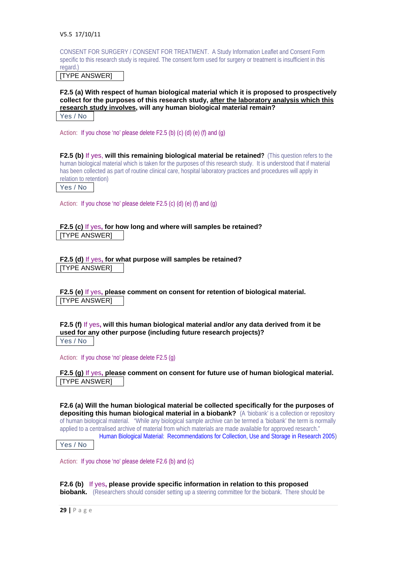CONSENT FOR SURGERY / CONSENT FOR TREATMENT. A Study Information Leaflet and Consent Form specific to this research study is required. The consent form used for surgery or treatment is insufficient in this regard.)

[TYPE ANSWER]

#### **F2.5 (a) With respect of human biological material which it is proposed to prospectively collect for the purposes of this research study, after the laboratory analysis which this research study involves, will any human biological material remain?**  Yes / No

Action: If you chose 'no' please delete F2.5 (b) (c) (d) (e) (f) and (g)

**F2.5 (b)** If yes, **will this remaining biological material be retained?** (This question refers to the human biological material which is taken for the purposes of this research study. It is understood that if material has been collected as part of routine clinical care, hospital laboratory practices and procedures will apply in relation to retention)

Yes / No

Action: If you chose 'no' please delete F2.5 (c) (d) (e) (f) and (g)

**F2.5 (c)** If yes**, for how long and where will samples be retained?**  [TYPE ANSWER]

**F2.5 (d)** If yes**, for what purpose will samples be retained?**  [TYPE ANSWER]

**F2.5 (e)** If yes**, please comment on consent for retention of biological material.**  [TYPE ANSWER]

**F2.5 (f)** If yes**, will this human biological material and/or any data derived from it be used for any other purpose (including future research projects)?**  Yes / No

Action: If you chose 'no' please delete F2.5 (g)

**F2.5 (g)** If yes**, please comment on consent for future use of human biological material.**  [TYPE ANSWER]

**F2.6 (a) Will the human biological material be collected specifically for the purposes of depositing this human biological material in a biobank?** (A 'biobank' is a collection or repository of human biological material. "While any biological sample archive can be termed a 'biobank' the term is normally applied to a centralised archive of material from which materials are made available for approved research." Human Biological Material: Recommendations for Collection, Use and Storage in Research 2005)

Yes / No

Action: If you chose 'no' please delete F2.6 (b) and (c)

**F2.6 (b)** If yes**, please provide specific information in relation to this proposed biobank.** (Researchers should consider setting up a steering committee for the biobank. There should be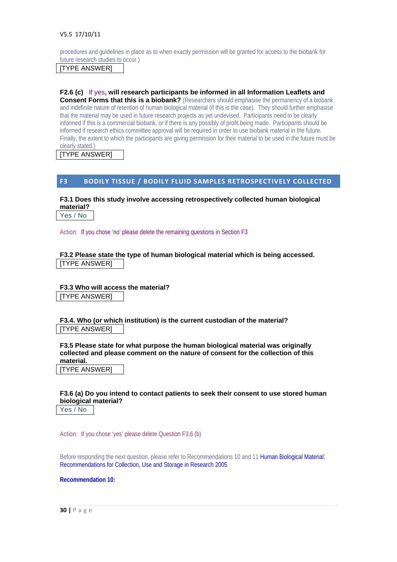procedures and guidelines in place as to when exactly permission will be granted for access to the biobank for future research studies to occur.)

[TYPE ANSWER]

**F2.6 (c)** If yes**, will research participants be informed in all Information Leaflets and Consent Forms that this is a biobank?** (Researchers should emphasise the permanency of a biobank and indefinite nature of retention of human biological material (if this is the case). They should further emphasise that the material may be used in future research projects as yet undevised. Participants need to be clearly informed if this is a commercial biobank, or if there is any possibly of profit being made. Participants should be informed if research ethics committee approval will be required in order to use biobank material in the future. Finally, the extent to which the participants are giving permission for their material to be used in the future must be clearly stated.)

[TYPE ANSWER]

#### **F3 BODILY TISSUE / BODILY FLUID SAMPLES RETROSPECTIVELY COLLECTED**

#### **F3.1 Does this study involve accessing retrospectively collected human biological material?**

Yes / No

Action: If you chose 'no' please delete the remaining questions in Section F3

#### **F3.2 Please state the type of human biological material which is being accessed.**  [TYPE ANSWER]

**F3.3 Who will access the material?** 

**ITYPE ANSWERI** 

**F3.4. Who (or which institution) is the current custodian of the material?**  [TYPE ANSWER]

**F3.5 Please state for what purpose the human biological material was originally collected and please comment on the nature of consent for the collection of this material.** 

[TYPE ANSWER]

#### **F3.6 (a) Do you intend to contact patients to seek their consent to use stored human biological material?**

Yes / No

Action: If you chose 'yes' please delete Question F3.6 (b)

Before responding the next question, please refer to Recommendations 10 and 11 Human Biological Material: Recommendations for Collection, Use and Storage in Research 2005

**Recommendation 10:**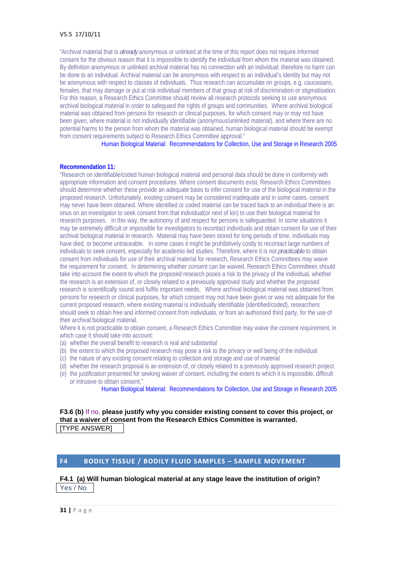"Archival material that is *already* anonymous or unlinked at the time of this report does not require informed consent for the obvious reason that it is impossible to identify the individual from whom the material was obtained. By definition anonymous or unlinked archival material has no connection with an individual; therefore no harm can be done to an individual. Archival material can be anonymous with respect to an individual's identity but may not be anonymous with respect to classes of individuals. Thus research can accumulate on groups, e.g. caucasians, females, that may damage or put at risk individual members of that group at risk of discrimination or stigmatisation. For this reason, a Research Ethics Committee should review all research protocols seeking to use anonymous archival biological material in order to safeguard the rights of groups and communities. Where archival biological material was obtained from persons for research or clinical purposes, for which consent may or may not have been given, where material is not individually identifiable (anonymous/unlinked material), and where there are no potential harms to the person from whom the material was obtained, human biological material should be exempt from consent requirements subject to Research Ethics Committee approval."

Human Biological Material: Recommendations for Collection, Use and Storage in Research 2005

#### **Recommendation 11:**

"Research on identifiable/coded human biological material and personal data should be done in conformity with appropriate information and consent procedures. Where consent documents exist, Research Ethics Committees should determine whether these provide an adequate basis to infer consent for use of the biological material in the proposed research. Unfortunately, existing consent may be considered inadequate and in some cases, consent may never have been obtained. Where identified or coded material can be traced back to an individual there is an onus on an investigator to seek consent from that individual(or next of kin) to use their biological material for research purposes. In this way, the autonomy of and respect for persons is safeguarded. In some situations it may be extremely difficult or impossible for investigators to recontact individuals and obtain consent for use of their archival biological material in research. Material may have been stored for long periods of time, individuals may have died, or become untraceable. In some cases it might be prohibitively costly to recontact large numbers of individuals to seek consent, especially for academic-led studies. Therefore, where it is not *practicable* to obtain consent from individuals for use of their archival material for research, Research Ethics Committees may waive the requirement for consent. In determining whether consent can be waived, Research Ethics Committees should take into account the extent to which the proposed research poses a risk to the privacy of the individual, whether the research is an extension of, or closely related to a previously approved study and whether the proposed research is scientifically sound and fulfils important needs. Where archival biological material was obtained from persons for research or clinical purposes, for which consent may not have been given or was not adequate for the current proposed research, where existing material is individually identifiable (identified/coded), researchers should seek to obtain free and informed consent from individuals, or from an authorised third party, for the use of their archival biological material.

Where it is not practicable to obtain consent, a Research Ethics Committee may waive the consent requirement, in which case it should take into account:

(a) whether the overall benefit to research is real and substantial

- (b) the extent to which the proposed research may pose a risk to the privacy or well being of the individual
- (c) the nature of any existing consent relating to collection and storage and use of material
- (d) whether the research proposal is an extension of, or closely related to a previously approved research project.
- (e) the justification presented for seeking waiver of consent, including the extent to which it is impossible, difficult or intrusive to obtain consent."

Human Biological Material: Recommendations for Collection, Use and Storage in Research 2005

**F3.6 (b)** If no, **please justify why you consider existing consent to cover this project, or that a waiver of consent from the Research Ethics Committee is warranted. ITYPE ANSWERI** 

#### **F4 BODILY TISSUE / BODILY FLUID SAMPLES – SAMPLE MOVEMENT**

**F4.1 (a) Will human biological material at any stage leave the institution of origin?**  Yes / No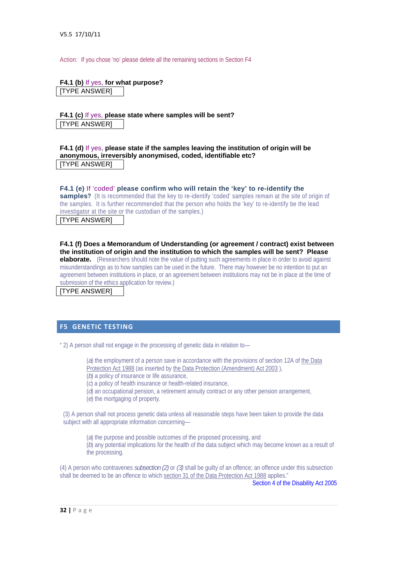Action: If you chose 'no' please delete all the remaining sections in Section F4

#### **F4.1 (b)** If yes, **for what purpose?**  [TYPE ANSWER]

#### **F4.1 (c)** If yes, **please state where samples will be sent? ITYPE ANSWERI**

#### **F4.1 (d)** If yes, **please state if the samples leaving the institution of origin will be anonymous, irreversibly anonymised, coded, identifiable etc?**  [TYPE ANSWER]

**F4.1 (e)** If 'coded' **please confirm who will retain the 'key' to re-identify the samples?** (It is recommended that the key to re-identify 'coded' samples remain at the site of origin of the samples. It is further recommended that the person who holds the 'key' to re-identify be the lead investigator at the site or the custodian of the samples.) **ITYPE ANSWER1** 

**F4.1 (f) Does a Memorandum of Understanding (or agreement / contract) exist between the institution of origin and the institution to which the samples will be sent? Please elaborate.** (Researchers should note the value of putting such agreements in place in order to avoid against misunderstandings as to how samples can be used in the future. There may however be no intention to put an agreement between institutions in place, or an agreement between institutions may not be in place at the time of submission of the ethics application for review.)

**ITYPE ANSWERI** 

#### **F5 GENETIC TESTING**

" 2) A person shall not engage in the processing of genetic data in relation to—

(*a*) the employment of a person save in accordance with the provisions of section 12A of [the Data](http://www.irishstatutebook.ie/1988/en/act/pub/0025/index.html)  [Protection Act 1988](http://www.irishstatutebook.ie/1988/en/act/pub/0025/index.html) (as inserted by [the Data Protection \(Amendment\) Act 2003](http://www.irishstatutebook.ie/2003/en/act/pub/0006/index.html) ),

(*b*) a policy of insurance or life assurance,

(*c*) a policy of health insurance or health-related insurance,

- (*d*) an occupational pension, a retirement annuity contract or any other pension arrangement,
- (*e*) the mortgaging of property.

(3) A person shall not process genetic data unless all reasonable steps have been taken to provide the data subject with all appropriate information concerning—

(*a*) the purpose and possible outcomes of the proposed processing, and (*b*) any potential implications for the health of the data subject which may become known as a result of the processing.

(4) A person who contravenes *subsection (2)* or *(3)* shall be guilty of an offence; an offence under this subsection shall be deemed to be an offence to which [section 31 of the Data Protection Act 1988](http://www.irishstatutebook.ie/1988/en/act/pub/0025/sec0031.html#zza25y1988s31) applies."

Section 4 of the Disability Act 2005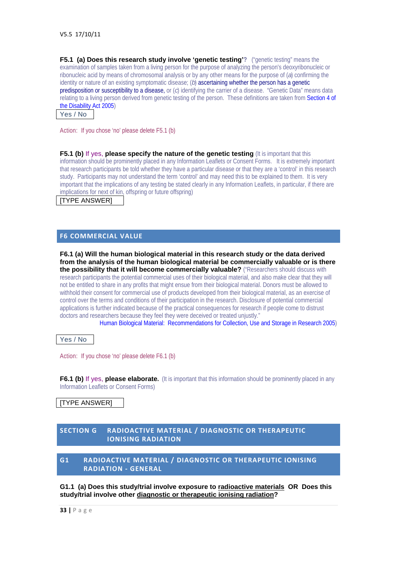**F5.1 (a) Does this research study involve 'genetic testing'?** ("genetic testing" means the examination of samples taken from a living person for the purpose of analyzing the person's deoxyribonucleic or ribonucleic acid by means of chromosomal analysis or by any other means for the purpose of (*a*) confirming the identity or nature of an existing symptomatic disease; (*b*) ascertaining whether the person has a genetic predisposition or susceptibility to a disease, or (*c*) identifying the carrier of a disease. "Genetic Data" means data relating to a living person derived from genetic testing of the person. These definitions are taken from Section 4 of the Disability Act 2005)

Yes / No

Action: If you chose 'no' please delete F5.1 (b)

**F5.1 (b)** If yes, **please specify the nature of the genetic testing** (It is important that this information should be prominently placed in any Information Leaflets or Consent Forms. It is extremely important that research participants be told whether they have a particular disease or that they are a 'control' in this research study. Participants may not understand the term 'control' and may need this to be explained to them. It is very important that the implications of any testing be stated clearly in any Information Leaflets, in particular, if there are implications for next of kin, offspring or future offspring)

**ITYPE ANSWERI** 

#### **F6 COMMERCIAL VALUE**

**F6.1 (a) Will the human biological material in this research study or the data derived from the analysis of the human biological material be commercially valuable or is there the possibility that it will become commercially valuable?** ("Researchers should discuss with research participants the potential commercial uses of their biological material, and also make clear that they will not be entitled to share in any profits that might ensue from their biological material. Donors must be allowed to withhold their consent for commercial use of products developed from their biological material, as an exercise of control over the terms and conditions of their participation in the research. Disclosure of potential commercial applications is further indicated because of the practical consequences for research if people come to distrust doctors and researchers because they feel they were deceived or treated unjustly."

Human Biological Material: Recommendations for Collection, Use and Storage in Research 2005)

Yes / No

Action: If you chose 'no' please delete F6.1 (b)

**F6.1 (b)** If yes, **please elaborate.** (It is important that this information should be prominently placed in any Information Leaflets or Consent Forms)

#### [TYPE ANSWER]

#### **SECTION G RADIOACTIVE MATERIAL / DIAGNOSTIC OR THERAPEUTIC IONISING RADIATION**

#### **G1 RADIOACTIVE MATERIAL / DIAGNOSTIC OR THERAPEUTIC IONISING RADIATION ‐ GENERAL**

**G1.1 (a) Does this study/trial involve exposure to radioactive materials OR Does this study/trial involve other diagnostic or therapeutic ionising radiation?**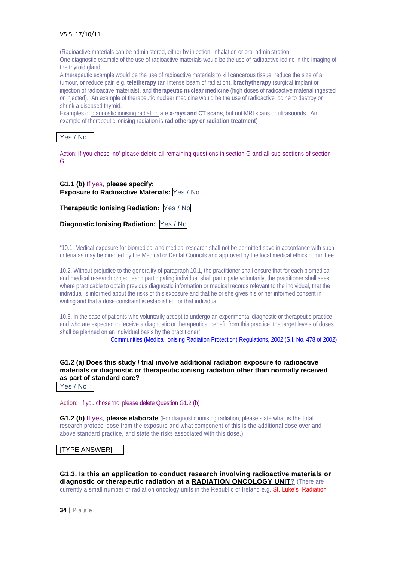(Radioactive materials can be administered, either by injection, inhalation or oral administration. One diagnostic example of the use of radioactive materials would be the use of radioactive iodine in the imaging of the thyroid gland.

A therapeutic example would be the use of radioactive materials to kill cancerous tissue, reduce the size of a tumour, or reduce pain e.g. **teletherapy** (an intense beam of radiation), **brachytherapy** (surgical implant or injection of radioactive materials), and **therapeutic nuclear medicine** (high doses of radioactive material ingested or injected). An example of therapeutic nuclear medicine would be the use of radioactive iodine to destroy or shrink a diseased thyroid.

Examples of diagnostic ionising radiation are **x-rays and CT scans**, but not MRI scans or ultrasounds. An example of therapeutic ionising radiation is **radiotherapy or radiation treatment**)

#### Yes / No

Action: If you chose 'no' please delete all remaining questions in section G and all sub-sections of section G

**G1.1 (b)** If yes, **please specify: Exposure to Radioactive Materials: Yes / No** 

**Therapeutic Ionising Radiation:** Yes / No

**Diagnostic Ionising Radiation:** Yes / No

"10.1. Medical exposure for biomedical and medical research shall not be permitted save in accordance with such criteria as may be directed by the Medical or Dental Councils and approved by the local medical ethics committee.

10.2. Without prejudice to the generality of paragraph 10.1, the practitioner shall ensure that for each biomedical and medical research project each participating individual shall participate voluntarily, the practitioner shall seek where practicable to obtain previous diagnostic information or medical records relevant to the individual, that the individual is informed about the risks of this exposure and that he or she gives his or her informed consent in writing and that a dose constraint is established for that individual.

10.3. In the case of patients who voluntarily accept to undergo an experimental diagnostic or therapeutic practice and who are expected to receive a diagnostic or therapeutical benefit from this practice, the target levels of doses shall be planned on an individual basis by the practitioner"

Communities (Medical Ionising Radiation Protection) Regulations, 2002 (S.I. No. 478 of 2002)

#### **G1.2 (a) Does this study / trial involve additional radiation exposure to radioactive materials or diagnostic or therapeutic ionisng radiation other than normally received as part of standard care?**

Yes / No

Action: If you chose 'no' please delete Question G1.2 (b)

**G1.2 (b)** If yes, **please elaborate** (For diagnostic ionising radiation, please state what is the total research protocol dose from the exposure and what component of this is the additional dose over and above standard practice, and state the risks associated with this dose.)

#### [TYPE ANSWER]

**G1.3. Is this an application to conduct research involving radioactive materials or diagnostic or therapeutic radiation at a RADIATION ONCOLOGY UNIT?** (There are currently a small number of radiation oncology units in the Republic of Ireland e.g. St. Luke's Radiation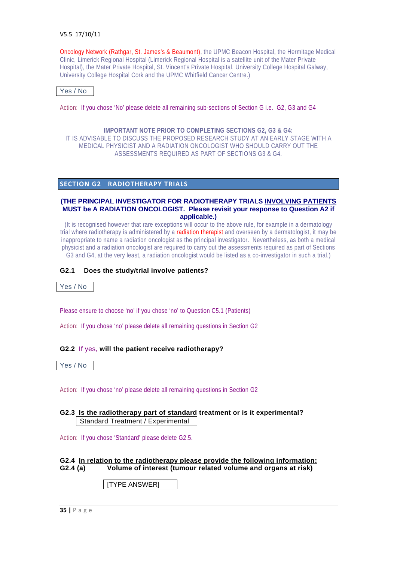Oncology Network (Rathgar, St. James's & Beaumont), the UPMC Beacon Hospital, the Hermitage Medical Clinic, Limerick Regional Hospital (Limerick Regional Hospital is a satellite unit of the Mater Private Hospital), the Mater Private Hospital, St. Vincent's Private Hospital, University College Hospital Galway, University College Hospital Cork and the UPMC Whitfield Cancer Centre.)

#### Yes / No

Action: If you chose 'No' please delete all remaining sub-sections of Section G i.e. G2, G3 and G4

#### **IMPORTANT NOTE PRIOR TO COMPLETING SECTIONS G2, G3 & G4:**

IT IS ADVISABLE TO DISCUSS THE PROPOSED RESEARCH STUDY AT AN EARLY STAGE WITH A MEDICAL PHYSICIST AND A RADIATION ONCOLOGIST WHO SHOULD CARRY OUT THE ASSESSMENTS REQUIRED AS PART OF SECTIONS G3 & G4.

#### **SECTION G2 RADIOTHERAPY TRIALS**

#### **(THE PRINCIPAL INVESTIGATOR FOR RADIOTHERAPY TRIALS INVOLVING PATIENTS MUST be A RADIATION ONCOLOGIST. Please revisit your response to Question A2 if applicable.)**

(It is recognised however that rare exceptions will occur to the above rule, for example in a dermatology trial where radiotherapy is administered by a radiation therapist and overseen by a dermatologist, it may be inappropriate to name a radiation oncologist as the principal investigator. Nevertheless, as both a medical physicist and a radiation oncologist are required to carry out the assessments required as part of Sections G3 and G4, at the very least, a radiation oncologist would be listed as a co-investigator in such a trial.)

#### **G2.1 Does the study/trial involve patients?**



Please ensure to choose 'no' if you chose 'no' to Question C5.1 (Patients)

Action: If you chose 'no' please delete all remaining questions in Section G2

#### **G2.2** If yes, **will the patient receive radiotherapy?**

Yes / No

Action: If you chose 'no' please delete all remaining questions in Section G2

#### **G2.3 Is the radiotherapy part of standard treatment or is it experimental?**  Standard Treatment / Experimental

Action: If you chose 'Standard' please delete G2.5.

#### **G2.4 In relation to the radiotherapy please provide the following information: G2.4 (a) Volume of interest (tumour related volume and organs at risk)**

[TYPE ANSWER]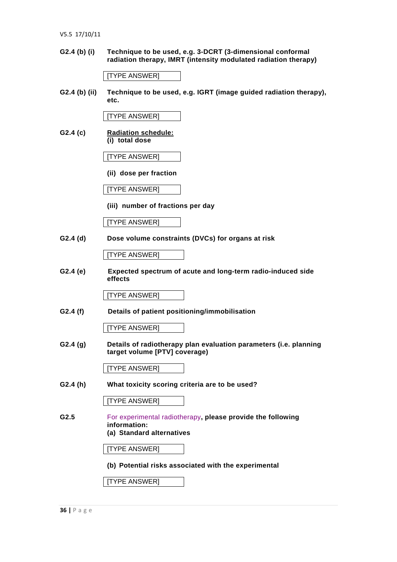**G2.4 (b) (i) Technique to be used, e.g. 3-DCRT (3-dimensional conformal radiation therapy, IMRT (intensity modulated radiation therapy)** 

[TYPE ANSWER]

**G2.4 (b) (ii) Technique to be used, e.g. IGRT (image guided radiation therapy), etc.** 

[TYPE ANSWER]

**G2.4 (c) Radiation schedule: (i) total dose** 

[TYPE ANSWER]

**(ii) dose per fraction** 

[TYPE ANSWER]

**(iii) number of fractions per day** 

[TYPE ANSWER]

**G2.4 (d) Dose volume constraints (DVCs) for organs at risk** 

[TYPE ANSWER]

**G2.4 (e) Expected spectrum of acute and long-term radio-induced side effects** 

[TYPE ANSWER]

**G2.4 (f) Details of patient positioning/immobilisation** 

[TYPE ANSWER]

**G2.4 (g) Details of radiotherapy plan evaluation parameters (i.e. planning target volume [PTV] coverage)** 

[TYPE ANSWER]

**G2.4 (h) What toxicity scoring criteria are to be used?** 

[TYPE ANSWER]

**G2.5** For experimental radiotherapy**, please provide the following information: (a) Standard alternatives** 

[TYPE ANSWER]

**(b) Potential risks associated with the experimental** 

[TYPE ANSWER]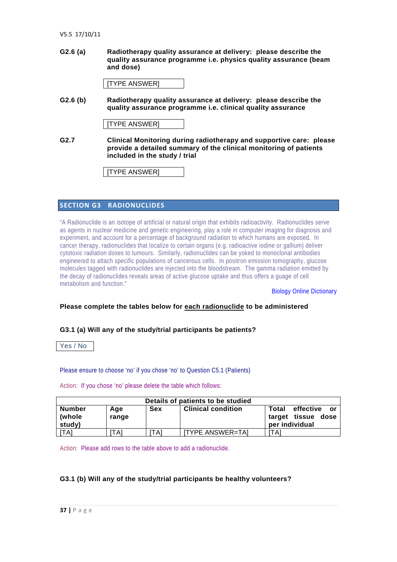**G2.6 (a) Radiotherapy quality assurance at delivery: please describe the quality assurance programme i.e. physics quality assurance (beam and dose)** 

[TYPE ANSWER]

**G2.6 (b) Radiotherapy quality assurance at delivery: please describe the quality assurance programme i.e. clinical quality assurance** 

| <b>[TYPE ANSWER]</b> |
|----------------------|
|----------------------|

**G2.7 Clinical Monitoring during radiotherapy and supportive care: please provide a detailed summary of the clinical monitoring of patients included in the study / trial** 

[TYPE ANSWER]

#### **SECTION G3 RADIONUCLIDES**

"A Radionuclide is an isotope of artificial or natural origin that exhibits radioactivity. Radionuclides serve as agents in nuclear medicine and genetic engineering, play a role in computer imaging for diagnosis and experiment, and account for a percentage of background radiation to which humans are exposed. In cancer therapy, radionuclides that localize to certain organs (e.g. radioactive iodine or gallium) deliver cytotoxic radiation doses to tumours. Similarly, radionuclides can be yoked to monoclonal antibodies engineered to attach specific populations of cancerous cells. In positron emission tomography, glucose molecules tagged with radionuclides are injected into the bloodstream. The gamma radiation emitted by the decay of radionuclides reveals areas of active glucose uptake and thus offers a guage of cell metabolism and function."

Biology Online Dictionary

#### **Please complete the tables below for each radionuclide to be administered**

#### **G3.1 (a) Will any of the study/trial participants be patients?**

Yes / No

Please ensure to choose 'no' if you chose 'no' to Question C5.1 (Patients)

Action: If you chose 'no' please delete the table which follows:

| Details of patients to be studied  |              |            |                           |                                                                    |
|------------------------------------|--------------|------------|---------------------------|--------------------------------------------------------------------|
| <b>Number</b><br>(whole)<br>study) | Age<br>range | <b>Sex</b> | <b>Clinical condition</b> | effective<br>Total<br>. or<br>target tissue dose<br>per individual |
| TA.                                | ⊤Аг          | TA1        | <b>ITYPE ANSWER=TAI</b>   | 'TA1                                                               |

Action: Please add rows to the table above to add a radionuclide.

#### **G3.1 (b) Will any of the study/trial participants be healthy volunteers?**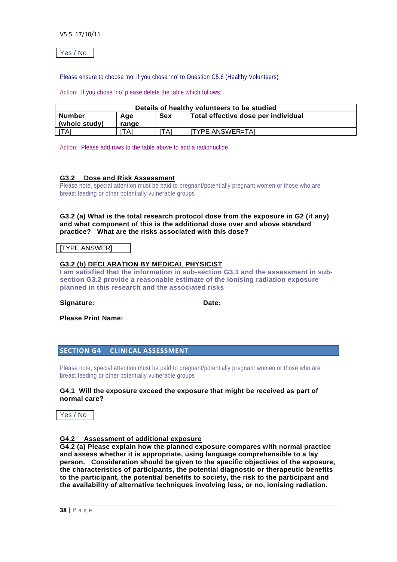Yes / No

Please ensure to choose 'no' if you chose 'no' to Question C5.6 (Healthy Volunteers)

Action: If you chose 'no' please delete the table which follows:

| Details of healthy volunteers to be studied |                                                          |      |                         |
|---------------------------------------------|----------------------------------------------------------|------|-------------------------|
| <b>Number</b>                               | Total effective dose per individual<br><b>Sex</b><br>Age |      |                         |
| (whole study)                               | range                                                    |      |                         |
| $\mathsf{T}$ Al                             | TA)                                                      | ITAI | <b>ITYPE ANSWER=TAI</b> |

Action: Please add rows to the table above to add a radionuclide.

#### **G3.2 Dose and Risk Assessment**

Please note, special attention must be paid to pregnant/potentially pregnant women or those who are breast feeding or other potentially vulnerable groups

#### **G3.2 (a) What is the total research protocol dose from the exposure in G2 (if any) and what component of this is the additional dose over and above standard practice? What are the risks associated with this dose?**

#### **ITYPE ANSWERI**

#### **G3.2 (b) DECLARATION BY MEDICAL PHYSICIST**

**I am satisfied that the information in sub-section G3.1 and the assessment in subsection G3.2 provide a reasonable estimate of the ionising radiation exposure planned in this research and the associated risks** 

Signature: **Date:** Date:

**Please Print Name:** 

#### **SECTION G4 CLINICAL ASSESSMENT**

Please note, special attention must be paid to pregnant/potentially pregnant women or those who are breast feeding or other potentially vulnerable groups

#### **G4.1 Will the exposure exceed the exposure that might be received as part of normal care?**

Yes / No

#### **G4.2 Assessment of additional exposure**

**G4.2 (a) Please explain how the planned exposure compares with normal practice and assess whether it is appropriate, using language comprehensible to a lay person. Consideration should be given to the specific objectives of the exposure, the characteristics of participants, the potential diagnostic or therapeutic benefits to the participant, the potential benefits to society, the risk to the participant and the availability of alternative techniques involving less, or no, ionising radiation.**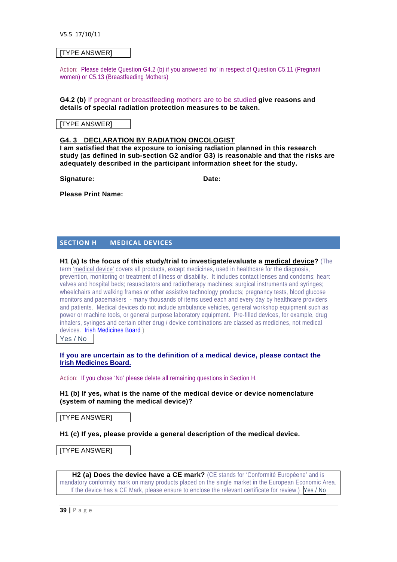#### **ITYPE ANSWERI**

Action: Please delete Question G4.2 (b) if you answered 'no' in respect of Question C5.11 (Pregnant women) or C5.13 (Breastfeeding Mothers)

#### **G4.2 (b)** If pregnant or breastfeeding mothers are to be studied **give reasons and details of special radiation protection measures to be taken.**

#### **[TYPE ANSWER]**

#### **G4. 3 DECLARATION BY RADIATION ONCOLOGIST**

**I am satisfied that the exposure to ionising radiation planned in this research study (as defined in sub-section G2 and/or G3) is reasonable and that the risks are adequately described in the participant information sheet for the study.** 

Signature: **Date: Date: Date:** 

**Please Print Name:** 

#### **SECTION H MEDICAL DEVICES**

**H1 (a) Is the focus of this study/trial to investigate/evaluate a medical device?** (The term 'medical device' covers all products, except medicines, used in healthcare for the diagnosis, prevention, monitoring or treatment of illness or disability. It includes contact lenses and condoms; heart valves and hospital beds; resuscitators and radiotherapy machines; surgical instruments and syringes; wheelchairs and walking frames or other assistive technology products; pregnancy tests, blood glucose monitors and pacemakers - many thousands of items used each and every day by healthcare providers and patients. Medical devices do not include ambulance vehicles, general workshop equipment such as power or machine tools, or general purpose laboratory equipment. Pre-filled devices, for example, drug inhalers, syringes and certain other drug / device combinations are classed as medicines, not medical devices. Irish Medicines Board)

Yes / No

#### **If you are uncertain as to the definition of a medical device, please contact the [Irish Medicines Board.](http://www.imb.ie/EN/Medical-Devices.aspx)**

Action: If you chose 'No' please delete all remaining questions in Section H.

#### **H1 (b) If yes, what is the name of the medical device or device nomenclature (system of naming the medical device)?**

#### [TYPE ANSWER]

**H1 (c) If yes, please provide a general description of the medical device.** 

#### [TYPE ANSWER]

**H2 (a) Does the device have a CE mark?** (CE stands for 'Conformité Européene' and is mandatory conformity mark on many products placed on the single market in the European Economic Area. If the device has a CE Mark, please ensure to enclose the relevant certificate for review.) Yes / No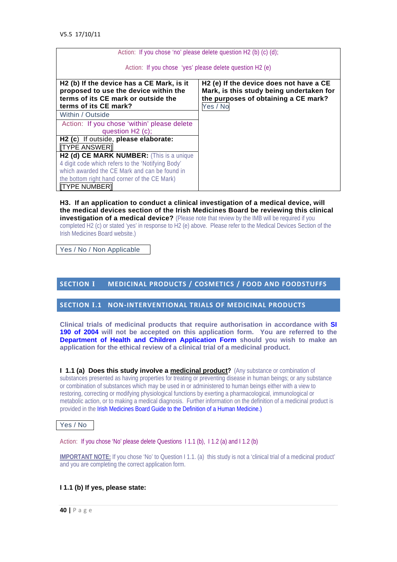| Action: If you chose 'no' please delete question H2 (b) (c) (d);                                                                                   |                                                                                                                                                     |  |  |  |
|----------------------------------------------------------------------------------------------------------------------------------------------------|-----------------------------------------------------------------------------------------------------------------------------------------------------|--|--|--|
| Action: If you chose 'yes' please delete question H2 (e)                                                                                           |                                                                                                                                                     |  |  |  |
| H2 (b) If the device has a CE Mark, is it<br>proposed to use the device within the<br>terms of its CE mark or outside the<br>terms of its CE mark? | H <sub>2</sub> (e) If the device does not have a CE<br>Mark, is this study being undertaken for<br>the purposes of obtaining a CE mark?<br>Yes / No |  |  |  |
| Within / Outside                                                                                                                                   |                                                                                                                                                     |  |  |  |
| Action: If you chose 'within' please delete                                                                                                        |                                                                                                                                                     |  |  |  |
| question H <sub>2</sub> (c);                                                                                                                       |                                                                                                                                                     |  |  |  |
| H2 (c) If outside, please elaborate:                                                                                                               |                                                                                                                                                     |  |  |  |
| <b>ITYPE ANSWER1</b>                                                                                                                               |                                                                                                                                                     |  |  |  |
| H2 (d) CE MARK NUMBER: (This is a unique<br>4 digit code which refers to the 'Notifying Body'                                                      |                                                                                                                                                     |  |  |  |
| which awarded the CE Mark and can be found in<br>the bottom right hand corner of the CE Mark)                                                      |                                                                                                                                                     |  |  |  |
| <b>TYPE NUMBER1</b>                                                                                                                                |                                                                                                                                                     |  |  |  |

**H3. If an application to conduct a clinical investigation of a medical device, will the medical devices section of the Irish Medicines Board be reviewing this clinical investigation of a medical device?** (Please note that review by the IMB will be required if you completed H2 (c) or stated 'yes' in response to H2 (e) above. Please refer to the Medical Devices Section of the Irish Medicines Board website.)

Yes / No / Non Applicable

#### **SECTION I MEDICINAL PRODUCTS / COSMETICS / FOOD AND FOODSTUFFS**

#### **SECTION I.1 NON‐INTERVENTIONAL TRIALS OF MEDICINAL PRODUCTS**

**Clinical trials of medicinal products that require authorisation in accordance with SI 190 of 2004 will not be accepted on this application form. You are referred to the Department of Health and Children Application Form should you wish to make an application for the ethical review of a clinical trial of a medicinal product.** 

**I 1.1 (a) Does this study involve a medicinal product?** (Any substance or combination of substances presented as having properties for treating or preventing disease in human beings; or any substance or combination of substances which may be used in or administered to human beings either with a view to restoring, correcting or modifying physiological functions by exerting a pharmacological, immunological or metabolic action, or to making a medical diagnosis. Further information on the definition of a medicinal product is provided in the Irish Medicines Board Guide to the Definition of a Human Medicine.)

#### Yes / No

Action: If you chose 'No' please delete Questions I 1.1 (b), I 1.2 (a) and I 1.2 (b)

**IMPORTANT NOTE:** If you chose 'No' to Question I 1.1. (a) this study is not a 'clinical trial of a medicinal product' and you are completing the correct application form.

#### **I 1.1 (b) If yes, please state:**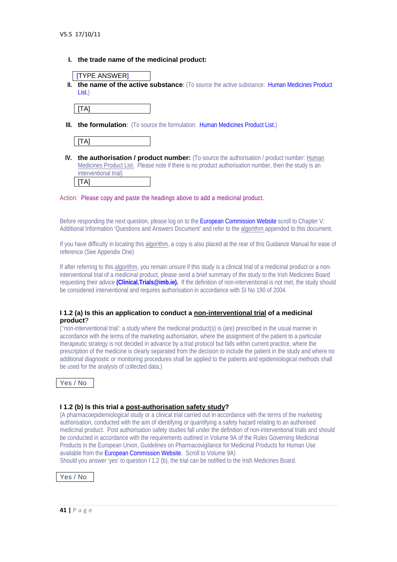**I. the trade name of the medicinal product:** 



**II.** the name of the active substance: (To source the active substance: Human Medicines Product List.)

 $[TA]$ 

**III.** the formulation: (To source the formulation: Human Medicines Product List.)

| э<br>÷ |
|--------|
|--------|

**IV.** the authorisation / product number: (To source the authorisation / product number: Human [Medicines Product List.](http://www.imb.ie/EN/Medicines/HumanMedicines/HumanMedicinesListing.aspx) Please note if there is no product authorisation number, then the study is an interventional trial) [TA]

Action: Please copy and paste the headings above to add a medicinal product.

Before responding the next question, please log on to the European Commission Website scroll to Chapter V: Additional Information 'Questions and Answers Document' and refer to the algorithm appended to this document.

If you have difficulty in locating this algorithm, a copy is also placed at the rear of this Guidance Manual for ease of reference (See Appendix One)

If after referring to this algorithm, you remain unsure if this study is a clinical trial of a medicinal product or a noninterventional trial of a medicinal product, please send a brief summary of the study to the Irish Medicines Board requesting their advice **(Clinical.Trials@imb.ie).** If the definition of non-interventional is not met, the study should be considered interventional and requires authorisation in accordance with SI No 190 of 2004.

#### **I 1.2 (a) Is this an application to conduct a non-interventional trial of a medicinal product**?

(''non-interventional trial': a study where the medicinal product(s) is (are) prescribed in the usual manner in accordance with the terms of the marketing authorisation, where the assignment of the patient to a particular therapeutic strategy is not decided in advance by a trial protocol but falls within current practice, where the prescription of the medicine is clearly separated from the decision to include the patient in the study and where no additional diagnostic or monitoring procedures shall be applied to the patients and epidemiological methods shall be used for the analysis of collected data.)



#### **I 1.2 (b) Is this trial a post-authorisation safety study?**

(A pharmacoepidemiological study or a clinical trial carried out in accordance with the terms of the marketing authorisation, conducted with the aim of identifying or quantifying a safety hazard relating to an authorised medicinal product. Post authorisation safety studies fall under the definition of non-interventional trials and should be conducted in accordance with the requirements outlined in Volume 9A of the Rules Governing Medicinal Products in the European Union, Guidelines on Pharmacovigilance for Medicinal Products for Human Use available from the European Commission Website. Scroll to Volume 9A) Should you answer 'yes' to question I 1.2 (b), the trial can be notified to the Irish Medicines Board.

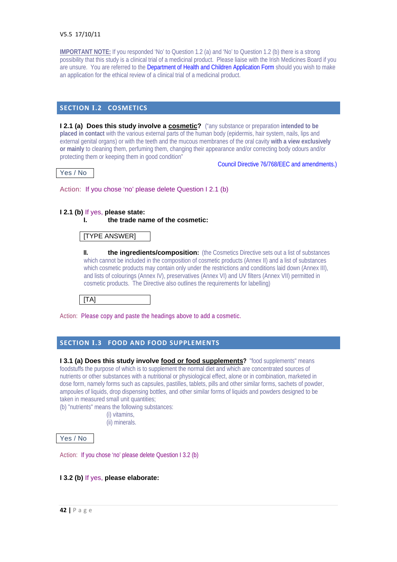**IMPORTANT NOTE:** If you responded 'No' to Question 1.2 (a) and 'No' to Question 1.2 (b) there is a strong possibility that this study is a clinical trial of a medicinal product. Please liaise with the Irish Medicines Board if you are unsure. You are referred to the Department of Health and Children Application Form should you wish to make an application for the ethical review of a clinical trial of a medicinal product.

#### **SECTION I.2 COSMETICS**

**I 2.1 (a) Does this study involve a cosmetic?** ("any substance or preparation intended to be **placed in contact** with the various external parts of the human body (epidermis, hair system, nails, lips and external genital organs) or with the teeth and the mucous membranes of the oral cavity **with a view exclusively or mainly** to cleaning them, perfuming them, changing their appearance and/or correcting body odours and/or protecting them or keeping them in good condition"

Yes / No

Council Directive 76/768/EEC and amendments.)

Action: If you chose 'no' please delete Question I 2.1 (b)

#### **I 2.1 (b)** If yes, **please state:**

**I. the trade name of the cosmetic:** 

#### [TYPE ANSWER]

**II. the ingredients/composition:** (the Cosmetics Directive sets out a list of substances which cannot be included in the composition of cosmetic products (Annex II) and a list of substances which cosmetic products may contain only under the restrictions and conditions laid down (Annex III), and lists of colourings (Annex IV), preservatives (Annex VI) and UV filters (Annex VII) permitted in cosmetic products. The Directive also outlines the requirements for labelling)

[TA]

Action: Please copy and paste the headings above to add a cosmetic.

#### **SECTION I.3 FOOD AND FOOD SUPPLEMENTS**

**I 3.1 (a) Does this study involve food or food supplements?** "food supplements" means foodstuffs the purpose of which is to supplement the normal diet and which are concentrated sources of nutrients or other substances with a nutritional or physiological effect, alone or in combination, marketed in dose form, namely forms such as capsules, pastilles, tablets, pills and other similar forms, sachets of powder, ampoules of liquids, drop dispensing bottles, and other similar forms of liquids and powders designed to be taken in measured small unit quantities;

(b) "nutrients" means the following substances:

(i) vitamins, (ii) minerals.

Yes / No

Action: If you chose 'no' please delete Question I 3.2 (b)

#### **I 3.2 (b)** If yes, **please elaborate:**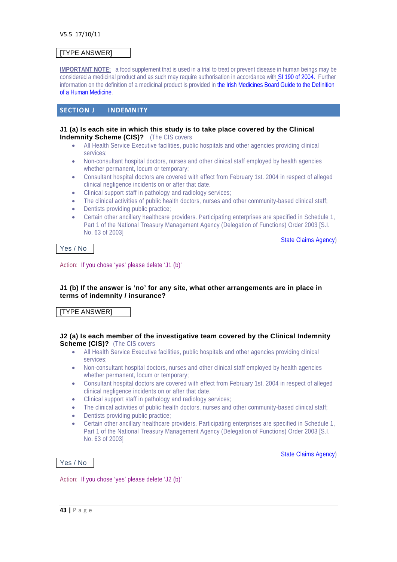#### **ITYPE ANSWERI**

**IMPORTANT NOTE:** a food supplement that is used in a trial to treat or prevent disease in human beings may be considered a medicinal product and as such may require authorisation in accordance with SI 190 of 2004. Further information on the definition of a medicinal product is provided in the Irish Medicines Board Guide to the Definition of a Human Medicine.

#### **SECTION J INDEMNITY**

#### **J1 (a) Is each site in which this study is to take place covered by the Clinical Indemnity Scheme (CIS)?** (The CIS covers

- All Health Service Executive facilities, public hospitals and other agencies providing clinical services;
- Non-consultant hospital doctors, nurses and other clinical staff employed by health agencies whether permanent, locum or temporary;
- Consultant hospital doctors are covered with effect from February 1st. 2004 in respect of alleged clinical negligence incidents on or after that date.
- Clinical support staff in pathology and radiology services;
- The clinical activities of public health doctors, nurses and other community-based clinical staff;
- Dentists providing public practice;
- Certain other ancillary healthcare providers. Participating enterprises are specified in Schedule 1, Part 1 of the National Treasury Management Agency (Delegation of Functions) Order 2003 [S.I. No. 63 of 2003]

State Claims Agency)

Yes / No

Action: If you chose 'yes' please delete 'J1 (b)'

#### **J1 (b) If the answer is 'no' for any site**, **what other arrangements are in place in terms of indemnity / insurance?**

[TYPE ANSWER]

#### **J2 (a) Is each member of the investigative team covered by the Clinical Indemnity Scheme (CIS)?** (The CIS covers

- All Health Service Executive facilities, public hospitals and other agencies providing clinical services;
- Non-consultant hospital doctors, nurses and other clinical staff employed by health agencies whether permanent, locum or temporary;
- Consultant hospital doctors are covered with effect from February 1st. 2004 in respect of alleged clinical negligence incidents on or after that date.
- Clinical support staff in pathology and radiology services;
- The clinical activities of public health doctors, nurses and other community-based clinical staff;
- Dentists providing public practice;
- Certain other ancillary healthcare providers. Participating enterprises are specified in Schedule 1, Part 1 of the National Treasury Management Agency (Delegation of Functions) Order 2003 [S.I. No. 63 of 2003]

State Claims Agency)

Yes / No

Action: If you chose 'yes' please delete 'J2 (b)'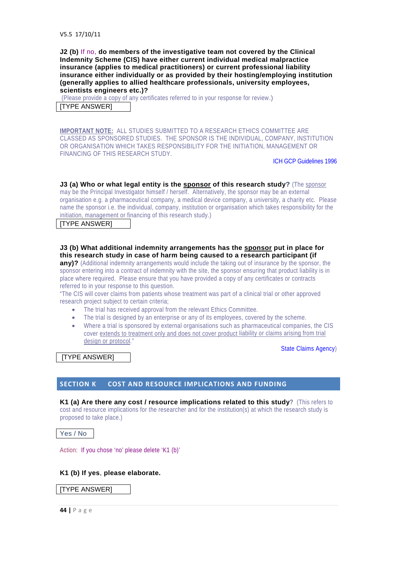| J2 (b) If no, do members of the investigative team not covered by the Clinical      |
|-------------------------------------------------------------------------------------|
| Indemnity Scheme (CIS) have either current individual medical malpractice           |
| insurance (applies to medical practitioners) or current professional liability      |
| insurance either individually or as provided by their hosting/employing institution |
| (generally applies to allied healthcare professionals, university employees,        |
| scientists engineers etc.)?                                                         |

(Please provide a copy of any certificates referred to in your response for review.)

|--|

**IMPORTANT NOTE:** ALL STUDIES SUBMITTED TO A RESEARCH ETHICS COMMITTEE ARE CLASSED AS SPONSORED STUDIES. THE SPONSOR IS THE INDIVIDUAL, COMPANY, INSTITUTION OR ORGANISATION WHICH TAKES RESPONSIBILITY FOR THE INITIATION, MANAGEMENT OR FINANCING OF THIS RESEARCH STUDY.

ICH GCP Guidelines 1996

**J3 (a) Who or what legal entity is the sponsor of this research study?** (The sponsor may be the Principal Investigator himself / herself. Alternatively, the sponsor may be an external organisation e.g. a pharmaceutical company, a medical device company, a university, a charity etc. Please name the sponsor i.e. the individual, company, institution or organisation which takes responsibility for the initiation, management or financing of this research study.)

[TYPE ANSWER]

#### **J3 (b) What additional indemnity arrangements has the sponsor put in place for this research study in case of harm being caused to a research participant (if**

any)? (Additional indemnity arrangements would include the taking out of insurance by the sponsor, the sponsor entering into a contract of indemnity with the site, the sponsor ensuring that product liability is in place where required. Please ensure that you have provided a copy of any certificates or contracts referred to in your response to this question.

"The CIS will cover claims from patients whose treatment was part of a clinical trial or other approved research project subject to certain criteria;

- The trial has received approval from the relevant Ethics Committee.
- The trial is designed by an enterprise or any of its employees, covered by the scheme.
- Where a trial is sponsored by external organisations such as pharmaceutical companies, the CIS cover extends to treatment only and does not cover product liability or claims arising from trial design or protocol."

State Claims Agency)

[TYPE ANSWER]

#### **SECTION K COST AND RESOURCE IMPLICATIONS AND FUNDING**

**K1 (a) Are there any cost / resource implications related to this study?** (This refers to cost and resource implications for the researcher and for the institution(s) at which the research study is proposed to take place.)

Yes / No

Action: If you chose 'no' please delete 'K1 (b)'

#### **K1 (b) If yes**, **please elaborate.**

**ITYPE ANSWERI** 

**44 |** Page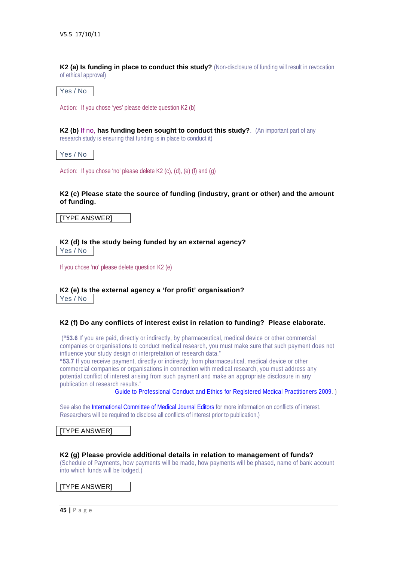**K2 (a) Is funding in place to conduct this study?** (Non-disclosure of funding will result in revocation of ethical approval)

Yes / No

Action: If you chose 'yes' please delete question K2 (b)

**K2 (b)** If no, **has funding been sought to conduct this study?**. (An important part of any research study is ensuring that funding is in place to conduct it)

Yes / No

Action: If you chose 'no' please delete K2 (c), (d), (e) (f) and (g)

#### **K2 (c) Please state the source of funding (industry, grant or other) and the amount of funding.**

**ITYPE ANSWERI** 

# **K2 (d) Is the study being funded by an external agency?**

Yes / No

If you chose 'no' please delete question K2 (e)

## **K2 (e) Is the external agency a 'for profit' organisation?**

Yes / No

#### **K2 (f) Do any conflicts of interest exist in relation to funding? Please elaborate.**

(**"53.6** If you are paid, directly or indirectly, by pharmaceutical, medical device or other commercial companies or organisations to conduct medical research, you must make sure that such payment does not influence your study design or interpretation of research data."

**"53.7** If you receive payment, directly or indirectly, from pharmaceutical, medical device or other commercial companies or organisations in connection with medical research, you must address any potential conflict of interest arising from such payment and make an appropriate disclosure in any publication of research results."

#### Guide to Professional Conduct and Ethics for Registered Medical Practitioners 2009. )

See also the International Committee of Medical Journal Editors for more information on conflicts of interest. Researchers will be required to disclose all conflicts of interest prior to publication.)

#### [TYPE ANSWER]

#### **K2 (g) Please provide additional details in relation to management of funds?**

(Schedule of Payments, how payments will be made, how payments will be phased, name of bank account into which funds will be lodged.)

#### **ITYPE ANSWERI**

**45 |** Page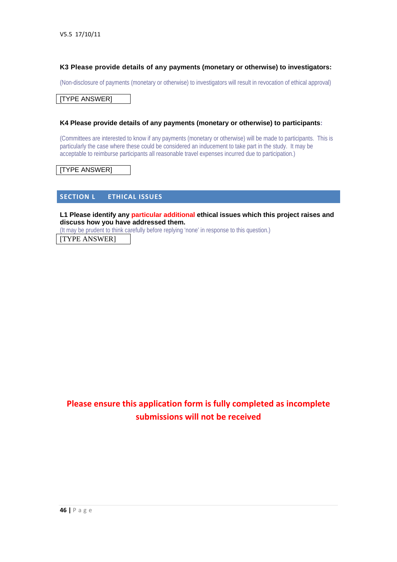#### **K3 Please provide details of any payments (monetary or otherwise) to investigators:**

(Non-disclosure of payments (monetary or otherwise) to investigators will result in revocation of ethical approval)

#### [TYPE ANSWER]

#### **K4 Please provide details of any payments (monetary or otherwise) to participants:**

(Committees are interested to know if any payments (monetary or otherwise) will be made to participants. This is particularly the case where these could be considered an inducement to take part in the study. It may be acceptable to reimburse participants all reasonable travel expenses incurred due to participation.)

[TYPE ANSWER]

#### **SECTION L ETHICAL ISSUES**

**L1 Please identify any particular additional ethical issues which this project raises and discuss how you have addressed them.** 

(It may be prudent to think carefully before replying 'none' in response to this question.) [TYPE ANSWER]

# **Please ensure this application form is fully completed as incomplete submissions will not be received**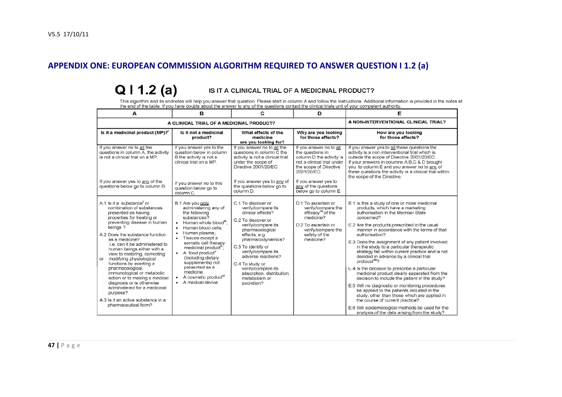# **APPENDIX ONE: EUROPEAN COMMISSION ALGORITHM REQUIRED TO ANSWER QUESTION I 1.2 (a)**

# $Q11.2(a)$

#### IS IT A CLINICAL TRIAL OF A MEDICINAL PRODUCT?

This algorithm and its endnotes will help you answer that question. Please start in column A and follow the instructions. Additional information is provided in the notes at the end of the table. If you have doubts about th

| A                                                                                                                                                                                                                                                                                                                                                                                                                                                                                                                                                                                                 | в                                                                                                                                                                                                                                                                                                                                                                                                 | C                                                                                                                                                                                                                                                                                                                                         | D                                                                                                                                                                   | Е                                                                                                                                                                                                                                                                                                                                                                                                                                                                                                                                                                                                                                                                                                                                                                                                                                                                                                                         |
|---------------------------------------------------------------------------------------------------------------------------------------------------------------------------------------------------------------------------------------------------------------------------------------------------------------------------------------------------------------------------------------------------------------------------------------------------------------------------------------------------------------------------------------------------------------------------------------------------|---------------------------------------------------------------------------------------------------------------------------------------------------------------------------------------------------------------------------------------------------------------------------------------------------------------------------------------------------------------------------------------------------|-------------------------------------------------------------------------------------------------------------------------------------------------------------------------------------------------------------------------------------------------------------------------------------------------------------------------------------------|---------------------------------------------------------------------------------------------------------------------------------------------------------------------|---------------------------------------------------------------------------------------------------------------------------------------------------------------------------------------------------------------------------------------------------------------------------------------------------------------------------------------------------------------------------------------------------------------------------------------------------------------------------------------------------------------------------------------------------------------------------------------------------------------------------------------------------------------------------------------------------------------------------------------------------------------------------------------------------------------------------------------------------------------------------------------------------------------------------|
| A CLINICAL TRIAL OF A MEDICINAL PRODUCT?                                                                                                                                                                                                                                                                                                                                                                                                                                                                                                                                                          |                                                                                                                                                                                                                                                                                                                                                                                                   |                                                                                                                                                                                                                                                                                                                                           |                                                                                                                                                                     | A NON-INTERVENTIONAL CLINICAL TRIAL?                                                                                                                                                                                                                                                                                                                                                                                                                                                                                                                                                                                                                                                                                                                                                                                                                                                                                      |
| Is it a medicinal product (MP)?'                                                                                                                                                                                                                                                                                                                                                                                                                                                                                                                                                                  | Is it not a medicinal<br>product?                                                                                                                                                                                                                                                                                                                                                                 | What effects of the<br>medicine<br>are you looking for?                                                                                                                                                                                                                                                                                   | Why are you looking<br>for those effects?                                                                                                                           | How are you looking<br>for those effects?                                                                                                                                                                                                                                                                                                                                                                                                                                                                                                                                                                                                                                                                                                                                                                                                                                                                                 |
| If you answer no to all the<br>questions in column A, the activity<br>is not a clinical trial on a MP.                                                                                                                                                                                                                                                                                                                                                                                                                                                                                            | If you answer yes to the<br>question below in column<br>B the activity is not a<br>clinical trial on a MP.                                                                                                                                                                                                                                                                                        | If you answer no to all the<br>questions in column C the<br>activity is not a clinical trial<br>under the scope of<br>Directive 2001/20/EC.                                                                                                                                                                                               | If you answer no to all<br>the questions in<br>column D the activity is<br>not a clinical trial under<br>the scope of Directive<br>2001/20/EC.                      | If you answer yes to all these questions the<br>activity is a non-interventional trial which is<br>outside the scope of Directive 2001/20/EC.<br>If your answers in columns A.B.C & D brought<br>you to column E and you answer no to any of<br>these questions the activity is a clinical trial within<br>the scope of the Directive.                                                                                                                                                                                                                                                                                                                                                                                                                                                                                                                                                                                    |
| If you answer yes to any of the<br>questions below go to column B.                                                                                                                                                                                                                                                                                                                                                                                                                                                                                                                                | If you answer no to this<br>question below go to<br>column C.                                                                                                                                                                                                                                                                                                                                     | If you answer yes to any of<br>the questions below go to<br>column D.                                                                                                                                                                                                                                                                     | If you answer yes to<br>any of the questions<br>below go to column E.                                                                                               |                                                                                                                                                                                                                                                                                                                                                                                                                                                                                                                                                                                                                                                                                                                                                                                                                                                                                                                           |
| A.1 Is it a substance" or<br>combination of substances<br>presented as having<br>properties for treating or<br>preventing disease in human<br>beings?<br>A.2 Does the substance function<br>as a medicine?<br>i.e. can it be administered to<br>human beings either with a<br>view to restoring, correcting<br>modifying physiological<br>or<br>functions by exerting a<br>pharmacological.<br>immunological or metabolic<br>action or to making a medical<br>diagnosis or is otherwise<br>administered for a medicinal<br>purpose?<br>A.3 Is it an active substance in a<br>pharmaceutical form? | B.1 Are you only<br>administering any of<br>the following<br>substances?<br>Human whole blood"<br>Human blood cells:<br>٠<br>Human plasma;<br>٠<br>Tissues except a<br>somatic cell therapy<br>medicinal product <sup>y</sup> :<br>A food product<br>$\bullet$<br>(including dietary<br>supplements) not<br>presented as a<br>medicine;<br>A cosmetic product <sup>vi</sup><br>• A medical device | C.1 To discover or<br>verify/compare its<br>clinical effects?<br>C.2 To discover or<br>verify/compare its<br>pharmacological<br>effects, e.g.<br>pharmacodynamics?<br>C.3 To identify or<br>verify/compare its<br>adverse reactions?<br>C.4 To study or<br>verify/compare its<br>absorption, distribution,<br>metabolism or<br>excretion? | D.1 To ascertain or<br>verify/compare the<br>efficacy <sup>vil</sup> of the<br>medicine?<br>D.2 To ascertain or<br>verify/compare the<br>safety of the<br>medicine? | E.1 Is this a study of one or more medicinal<br>products, which have a marketing<br>authorisation in the Member State<br>concerned?<br>E.2 Are the products prescribed in the usual<br>manner in accordance with the terms of that<br>authorisation?<br>E.3 Does the assignment of any patient involved<br>in the study to a particular therapeutic<br>strategy fall within current practice and is not<br>decided in advance by a clinical trial<br>protocol <sup>vill</sup> ?<br>E.4 Is the decision to prescribe a particular<br>medicinal product clearly separated from the<br>decision to include the patient in the study?<br>E.5 Will no diagnostic or monitoring procedures<br>be applied to the patients included in the<br>study, other than those which are applied in<br>the course of current practice?<br>E.6 Will epidemiological methods be used for the<br>analysis of the data arising from the study? |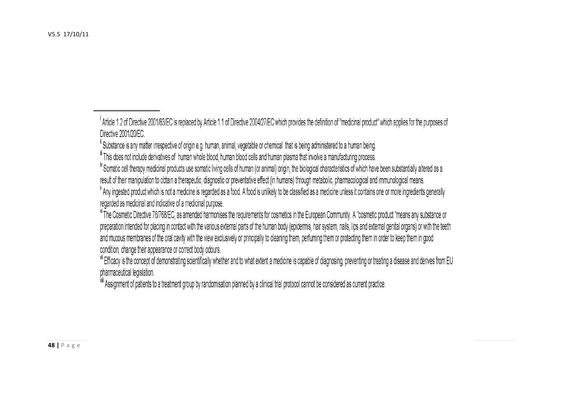- <span id="page-47-0"></span>Article 1.2 of Directive 2001/83/EC is replaced by Article 1.1 of Directive 2004/27/EC which provides the definition of "medicinal product" which applies for the purposes of Directive 2001/20/EC.
- "Substance is any matter irrespective of origin e.g. human, animal, vegetable or chemical that is being administered to a human being.
- "This does not include derivatives of human whole blood, human blood cells and human plasma that involve a manufacturing process.
- <span id="page-47-1"></span><sup>Iv</sup> Somatic cell therapy medicinal products use somatic living cells of human (or animal) origin, the biological characteristics of which have been substantially altered as a result of their manipulation to obtain a therapeutic, diagnostic or preventative effect (in humans) through metabolic, pharmacological and immunological means. <sup>v</sup> Any ingested product which is not a medicine is regarded as a food. A food is unlikely to be classified as a medicine unless it contains one or more ingredients generally regarded as medicinal and indicative of a medicinal purpose.
- vi The Cosmetic Directive 76/768/EC, as amended harmonises the requirements for cosmetics in the European Community. A "cosmetic product "means any substance or preparation intended for placing in contact with the various external parts of the human body (epidermis, hair system, nails, lips and external genital organs) or with the teeth and mucous membranes of the oral cavity with the view exclusively or principally to cleaning them, perfuming them or protecting them in order to keep them in good condition, change their appearance or correct body odours.
- vil Efficacy is the concept of demonstrating scientifically whether and to what extent a medicine is capable of diagnosing, preventing or treating a disease and derives from EU pharmaceutical legislation.
- <span id="page-47-3"></span><span id="page-47-2"></span>" Assignment of patients to a treatment group by randomisation planned by a clinical trial protocol cannot be considered as current practice.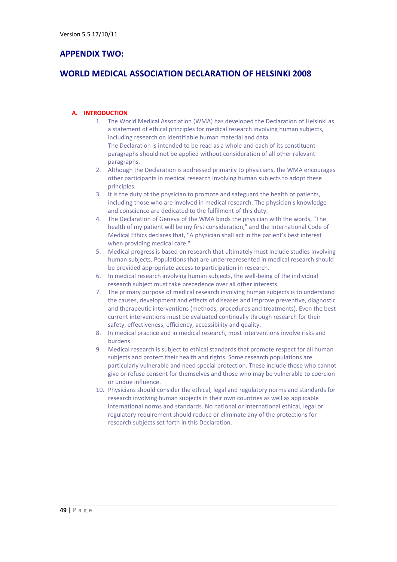# **APPENDIX TWO:**

# <span id="page-48-0"></span>**WORLD MEDICAL ASSOCIATION DECLARATION OF HELSINKI 2008**

#### **A. INTRODUCTION**

- 1. The World Medical Association (WMA) has developed the Declaration of Helsinki as a statement of ethical principles for medical research involving human subjects, including research on identifiable human material and data. The Declaration is intended to be read as a whole and each of its constituent paragraphs should not be applied without consideration of all other relevant paragraphs.
- 2. Although the Declaration is addressed primarily to physicians, the WMA encourages other participants in medical research involving human subjects to adopt these principles.
- <span id="page-48-1"></span>3. It is the duty of the physician to promote and safeguard the health of patients, including those who are involved in medical research. The physician's knowledge and conscience are dedicated to the fulfilment of this duty.
- <span id="page-48-2"></span>4. The Declaration of Geneva of the WMA binds the physician with the words, "The health of my patient will be my first consideration," and the International Code of Medical Ethics declares that, "A physician shall act in the patient's best interest when providing medical care."
- 5. Medical progress is based on research that ultimately must include studies involving human subjects. Populations that are underrepresented in medical research should be provided appropriate access to participation in research.
- <span id="page-48-3"></span>6. In medical research involving human subjects, the well‐being of the individual research subject must take precedence over all other interests.
- 7. The primary purpose of medical research involving human subjects is to understand the causes, development and effects of diseases and improve preventive, diagnostic and therapeutic interventions (methods, procedures and treatments). Even the best current interventions must be evaluated continually through research for their safety, effectiveness, efficiency, accessibility and quality.
- <span id="page-48-4"></span>8. In medical practice and in medical research, most interventions involve risks and burdens.
- 9. Medical research is subject to ethical standards that promote respect for all human subjects and protect their health and rights. Some research populations are particularly vulnerable and need special protection. These include those who cannot give or refuse consent for themselves and those who may be vulnerable to coercion or undue influence.
- <span id="page-48-6"></span><span id="page-48-5"></span>10. Physicians should consider the ethical, legal and regulatory norms and standards for research involving human subjects in their own countries as well as applicable international norms and standards. No national or international ethical, legal or regulatory requirement should reduce or eliminate any of the protections for research subjects set forth in this Declaration.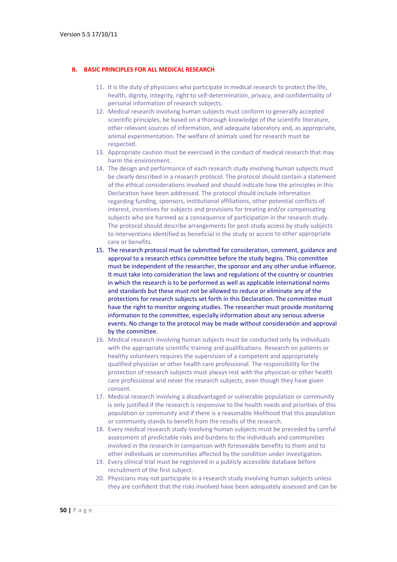#### **B. BASIC PRINCIPLES FOR ALL MEDICAL RESEARCH**

- 11. It is the duty of physicians who participate in medical research to protect the life, health, dignity, integrity, right to self-determination, privacy, and confidentiality of personal information of research subjects.
- 12. Medical research involving human subjects must conform to generally accepted scientific principles, be based on a thorough knowledge of the scientific literature, other relevant sources of information, and adequate laboratory and, as appropriate, animal experimentation. The welfare of animals used for research must be respected.
- 13. Appropriate caution must be exercised in the conduct of medical research that may harm the environment.
- 14. The design and performance of each research study involving human subjects must be clearly described in a research protocol. The protocol should contain a statement of the ethical considerations involved and should indicate how the principles in this Declaration have been addressed. The protocol should include information regarding funding, sponsors, institutional affiliations, other potential conflicts of interest, incentives for subjects and provisions for treating and/or compensating subjects who are harmed as a consequence of participation in the research study. The protocol should describe arrangements for post‐study access by study subjects to interventions identified as beneficial in the study or access to other appropriate care or benefits.
- 15. The research protocol must be submitted for consideration, comment, guidance and approval to a research ethics committee before the study begins. This committee must be independent of the researcher, the sponsor and any other undue influence. It must take into consideration the laws and regulations of the country or countries in which the research is to be performed as well as applicable international norms and standards but these must not be allowed to reduce or eliminate any of the protections for research subjects set forth in this Declaration. The committee must have the right to monitor ongoing studies. The researcher must provide monitoring information to the committee, especially information about any serious adverse events. No change to the protocol may be made without consideration and approval by the committee.
- 16. Medical research involving human subjects must be conducted only by individuals with the appropriate scientific training and qualifications. Research on patients or healthy volunteers requires the supervision of a competent and appropriately qualified physician or other health care professional. The responsibility for the protection of research subjects must always rest with the physician or other health care professional and never the research subjects, even though they have given consent.
- 17. Medical research involving a disadvantaged or vulnerable population or community is only justified if the research is responsive to the health needs and priorities of this population or community and if there is a reasonable likelihood that this population or community stands to benefit from the results of the research.
- 18. Every medical research study involving human subjects must be preceded by careful assessment of predictable risks and burdens to the individuals and communities involved in the research in comparison with foreseeable benefits to them and to other individuals or communities affected by the condition under investigation.
- 19. Every clinical trial must be registered in a publicly accessible database before recruitment of the first subject.
- 20. Physicians may not participate in a research study involving human subjects unless they are confident that the risks involved have been adequately assessed and can be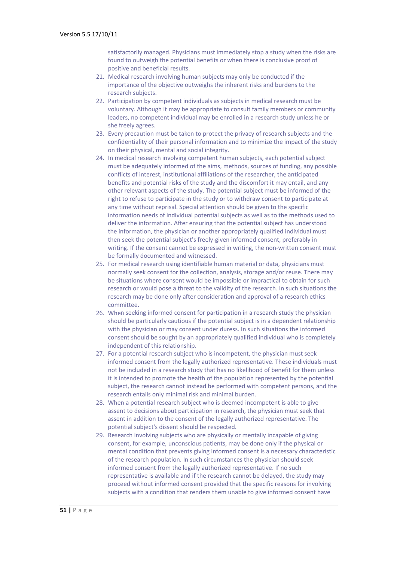satisfactorily managed. Physicians must immediately stop a study when the risks are found to outweigh the potential benefits or when there is conclusive proof of positive and beneficial results.

- 21. Medical research involving human subjects may only be conducted if the importance of the objective outweighs the inherent risks and burdens to the research subjects.
- 22. Participation by competent individuals as subjects in medical research must be voluntary. Although it may be appropriate to consult family members or community leaders, no competent individual may be enrolled in a research study unless he or she freely agrees.
- 23. Every precaution must be taken to protect the privacy of research subjects and the confidentiality of their personal information and to minimize the impact of the study on their physical, mental and social integrity.
- 24. In medical research involving competent human subjects, each potential subject must be adequately informed of the aims, methods, sources of funding, any possible conflicts of interest, institutional affiliations of the researcher, the anticipated benefits and potential risks of the study and the discomfort it may entail, and any other relevant aspects of the study. The potential subject must be informed of the right to refuse to participate in the study or to withdraw consent to participate at any time without reprisal. Special attention should be given to the specific information needs of individual potential subjects as well as to the methods used to deliver the information. After ensuring that the potential subject has understood the information, the physician or another appropriately qualified individual must then seek the potential subject's freely‐given informed consent, preferably in writing. If the consent cannot be expressed in writing, the non-written consent must be formally documented and witnessed.
- 25. For medical research using identifiable human material or data, physicians must normally seek consent for the collection, analysis, storage and/or reuse. There may be situations where consent would be impossible or impractical to obtain for such research or would pose a threat to the validity of the research. In such situations the research may be done only after consideration and approval of a research ethics committee.
- 26. When seeking informed consent for participation in a research study the physician should be particularly cautious if the potential subject is in a dependent relationship with the physician or may consent under duress. In such situations the informed consent should be sought by an appropriately qualified individual who is completely independent of this relationship.
- 27. For a potential research subject who is incompetent, the physician must seek informed consent from the legally authorized representative. These individuals must not be included in a research study that has no likelihood of benefit for them unless it is intended to promote the health of the population represented by the potential subject, the research cannot instead be performed with competent persons, and the research entails only minimal risk and minimal burden.
- 28. When a potential research subject who is deemed incompetent is able to give assent to decisions about participation in research, the physician must seek that assent in addition to the consent of the legally authorized representative. The potential subject's dissent should be respected.
- 29. Research involving subjects who are physically or mentally incapable of giving consent, for example, unconscious patients, may be done only if the physical or mental condition that prevents giving informed consent is a necessary characteristic of the research population. In such circumstances the physician should seek informed consent from the legally authorized representative. If no such representative is available and if the research cannot be delayed, the study may proceed without informed consent provided that the specific reasons for involving subjects with a condition that renders them unable to give informed consent have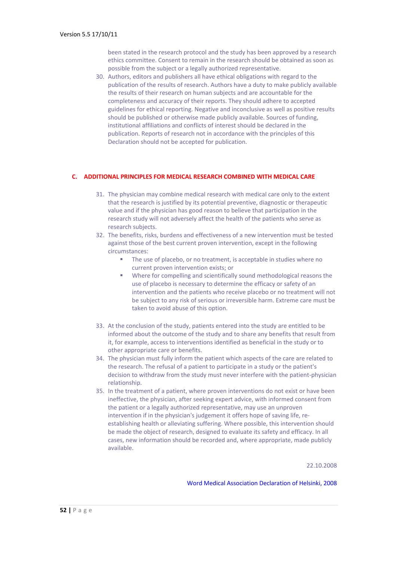been stated in the research protocol and the study has been approved by a research ethics committee. Consent to remain in the research should be obtained as soon as possible from the subject or a legally authorized representative.

30. Authors, editors and publishers all have ethical obligations with regard to the publication of the results of research. Authors have a duty to make publicly available the results of their research on human subjects and are accountable for the completeness and accuracy of their reports. They should adhere to accepted guidelines for ethical reporting. Negative and inconclusive as well as positive results should be published or otherwise made publicly available. Sources of funding, institutional affiliations and conflicts of interest should be declared in the publication. Reports of research not in accordance with the principles of this Declaration should not be accepted for publication.

#### **C. ADDITIONAL PRINCIPLES FOR MEDICAL RESEARCH COMBINED WITH MEDICAL CARE**

- 31. The physician may combine medical research with medical care only to the extent that the research is justified by its potential preventive, diagnostic or therapeutic value and if the physician has good reason to believe that participation in the research study will not adversely affect the health of the patients who serve as research subjects.
- 32. The benefits, risks, burdens and effectiveness of a new intervention must be tested against those of the best current proven intervention, except in the following circumstances:
	- The use of placebo, or no treatment, is acceptable in studies where no current proven intervention exists; or
	- Where for compelling and scientifically sound methodological reasons the use of placebo is necessary to determine the efficacy or safety of an intervention and the patients who receive placebo or no treatment will not be subject to any risk of serious or irreversible harm. Extreme care must be taken to avoid abuse of this option.
- 33. At the conclusion of the study, patients entered into the study are entitled to be informed about the outcome of the study and to share any benefits that result from it, for example, access to interventions identified as beneficial in the study or to other appropriate care or benefits.
- 34. The physician must fully inform the patient which aspects of the care are related to the research. The refusal of a patient to participate in a study or the patient's decision to withdraw from the study must never interfere with the patient‐physician relationship.
- 35. In the treatment of a patient, where proven interventions do not exist or have been ineffective, the physician, after seeking expert advice, with informed consent from the patient or a legally authorized representative, may use an unproven intervention if in the physician's judgement it offers hope of saving life, reestablishing health or alleviating suffering. Where possible, this intervention should be made the object of research, designed to evaluate its safety and efficacy. In all cases, new information should be recorded and, where appropriate, made publicly available.

22.10.2008

Word Medical Association Declaration of Helsinki, 2008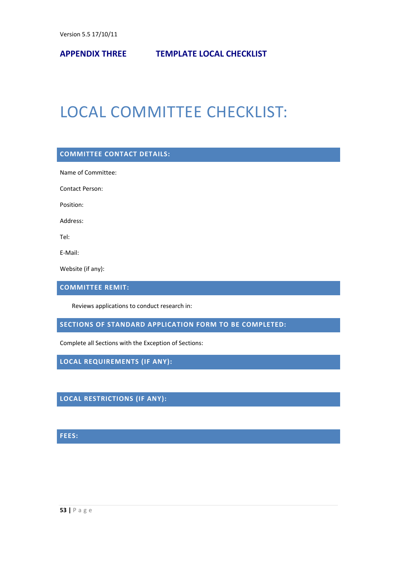# **APPENDIX THREE TEMPLATE LOCAL CHECKLIST**

# LOCAL COMMITTEE CHECKLIST:

## **COMMITTEE CONTACT DETAILS:**

Name of Committee:

Contact Person:

Position:

Address:

Tel:

E‐Mail:

Website (if any):

#### **COMMITTEE REMIT:**

Reviews applications to conduct research in:

**SECTIONS OF STANDARD APPLICATION FORM TO BE COMPLETED:**

Complete all Sections with the Exception of Sections:

**LOCAL REQUIREMENTS (IF ANY):**

**LOCAL RESTRICTIONS (IF ANY):**

**FEES:**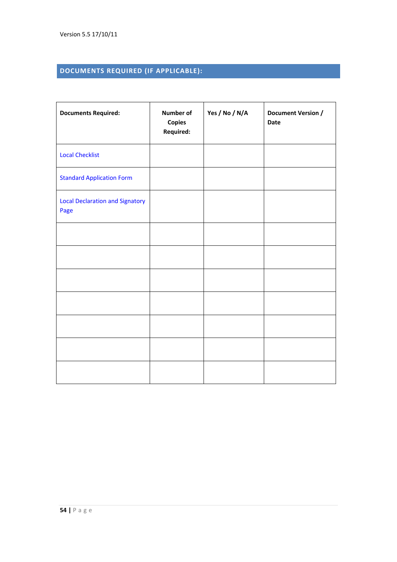# **DOCUMENTS REQUIRED (IF APPLICABLE):**

| <b>Documents Required:</b>                     | <b>Number of</b><br>Copies<br>Required: | Yes / No / N/A | Document Version /<br>Date |
|------------------------------------------------|-----------------------------------------|----------------|----------------------------|
| <b>Local Checklist</b>                         |                                         |                |                            |
| <b>Standard Application Form</b>               |                                         |                |                            |
| <b>Local Declaration and Signatory</b><br>Page |                                         |                |                            |
|                                                |                                         |                |                            |
|                                                |                                         |                |                            |
|                                                |                                         |                |                            |
|                                                |                                         |                |                            |
|                                                |                                         |                |                            |
|                                                |                                         |                |                            |
|                                                |                                         |                |                            |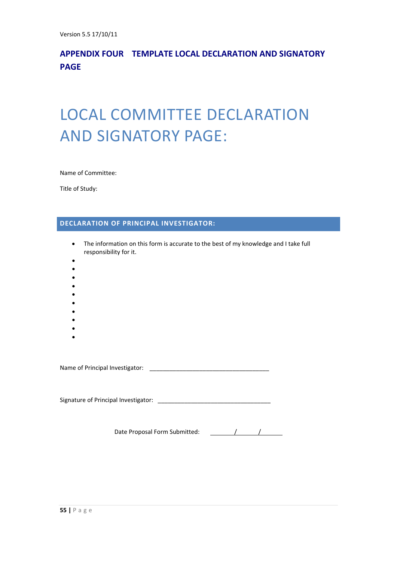# **APPENDIX FOUR TEMPLATE LOCAL DECLARATION AND SIGNATORY PAGE**

# LOCAL COMMITTEE DECLARATION AND SIGNATORY PAGE:

Name of Committee:

Title of Study:

#### **DECLARATION OF PRINCIPAL INVESTIGATOR:**

- The information on this form is accurate to the best of my knowledge and I take full responsibility for it.
- $\bullet$
- $\bullet$
- $\bullet$
- $\bullet$
- $\bullet$
- $\bullet$
- $\bullet$
- $\bullet$
- $\bullet$
- $\bullet$

Name of Principal Investigator: \_\_\_\_\_\_\_\_\_\_\_\_\_\_\_\_\_\_\_\_\_\_\_\_\_\_\_\_\_\_\_\_\_\_\_\_

Signature of Principal Investigator: \_\_\_\_\_\_\_\_\_\_\_\_\_\_\_\_\_\_\_\_\_\_\_\_\_\_\_\_\_\_\_\_\_\_

Date Proposal Form Submitted: / /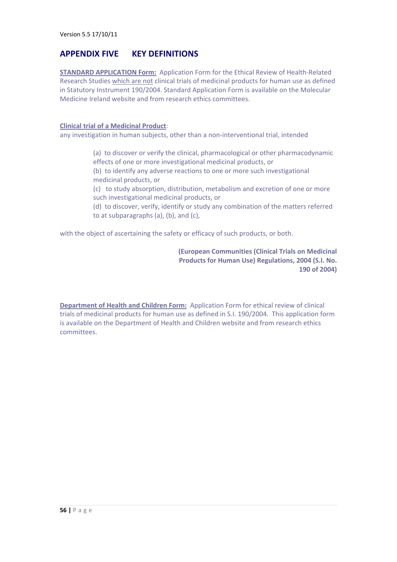# **APPENDIX FIVE KEY DEFINITIONS**

**STANDARD APPLICATION Form:** Application Form for the Ethical Review of Health‐Related Research Studies which are not clinical trials of medicinal products for human use as defined in Statutory Instrument 190/2004. Standard Application Form is available on the Molecular Medicine Ireland website and from research ethics committees.

#### **Clinical trial of a Medicinal Product**:

any investigation in human subjects, other than a non-interventional trial, intended

(a) to discover or verify the clinical, pharmacological or other pharmacodynamic effects of one or more investigational medicinal products, or (b) to identify any adverse reactions to one or more such investigational

medicinal products, or

(c) to study absorption, distribution, metabolism and excretion of one or more such investigational medicinal products, or

(d) to discover, verify, identify or study any combination of the matters referred to at subparagraphs (a), (b), and (c),

with the object of ascertaining the safety or efficacy of such products, or both.

**(European Communities (Clinical Trials on Medicinal Products for Human Use) Regulations, 2004 (S.I. No. 190 of 2004)**

**Department of Health and Children Form:** Application Form for ethical review of clinical trials of medicinal products for human use as defined in S.I. 190/2004. This application form is available on the Department of Health and Children website and from research ethics committees.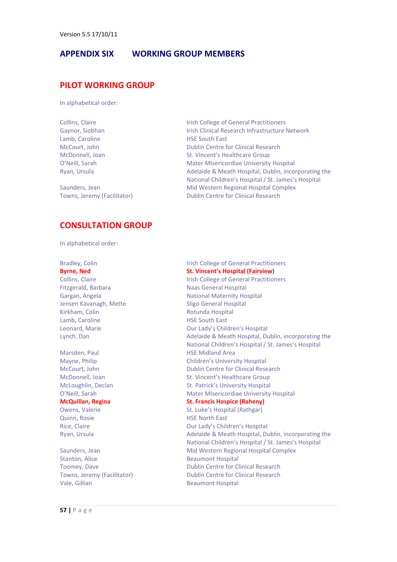# **APPENDIX SIX WORKING GROUP MEMBERS**

### **PILOT WORKING GROUP**

In alphabetical order:

Lamb, Caroline **HSE South East** 

Collins, Claire **Irish College of General Practitioners** Gaynor, Siobhan **Irish Clinical Research Infrastructure Network** McCourt, John Dublin Centre for Clinical Research McDonnell, Joan St. Vincent's Healthcare Group O'Neill, Sarah Mater Misericordiae University Hospital Ryan, Ursula *Adelaide & Meath Hospital, Dublin, incorporating the* National Children's Hospital / St. James's Hospital Saunders, Jean **Mid Western Regional Hospital Complex** Towns, Jeremy (Facilitator) Dublin Centre for Clinical Research

## **CONSULTATION GROUP**

In alphabetical order:

Fitzgerald, Barbara Naas General Hospital Jensen Kavanagh, Mette Sligo General Hospital Kirkham, Colin **Rotunda Hospital** Lamb, Caroline **HSE South East** 

Marsden, Paul **HSE Midland Area** 

**Quinn, Rosie Communist Communist Communist Communist Communist Communist Communist Communist Communist Communist Communist Communist Communist Communist Communist Communist Communist Communist Communist Communist Communis** 

Stanton, Alice **Beaumont Hospital** Towns, Jeremy (Facilitator) Dublin Centre for Clinical Research Vale, Gillian Beaumont Hospital

#### Bradley, Colin **Irish College of General Practitioners Byrne, Ned St. Vincent's Hospital (Fairview)**

Collins, Claire **Irish College of General Practitioners** Gargan, Angela National Maternity Hospital Leonard, Marie Children's Hospital Lynch, Dan **Adelaide & Meath Hospital, Dublin, incorporating the** Adelaide & Meath Hospital, Dublin, incorporating the National Children's Hospital / St. James's Hospital Mayne, Philip Children's University Hospital McCourt, John Dublin Centre for Clinical Research McDonnell, Joan St. Vincent's Healthcare Group McLoughlin, Declan St. Patrick's University Hospital O'Neill, Sarah Mater Misericordiae University Hospital **McQuillan, Regina St. Francis Hospice (Raheny)** Owens, Valerie St. Luke's Hospital (Rathgar) Rice, Claire **Calical** Curtady's Children's Hospital

Ryan, Ursula *Adelaide & Meath Hospital, Dublin, incorporating the* Adelaide & Meath Hospital, Dublin, incorporating the National Children's Hospital / St. James's Hospital Saunders, Jean **Mid Western Regional Hospital Complex** Toomey, Dave **Dublin Centre for Clinical Research**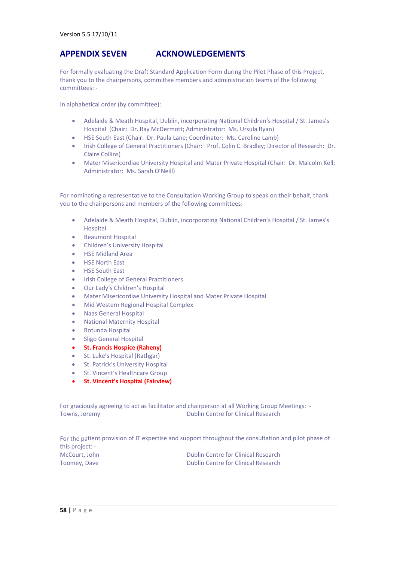# **APPENDIX SEVEN ACKNOWLEDGEMENTS**

For formally evaluating the Draft Standard Application Form during the Pilot Phase of this Project, thank you to the chairpersons, committee members and administration teams of the following committees: ‐

In alphabetical order (by committee):

- Adelaide & Meath Hospital, Dublin, incorporating National Children's Hospital / St. James's Hospital (Chair: Dr. Ray McDermott; Administrator: Ms. Ursula Ryan)
- HSE South East (Chair: Dr. Paula Lane; Coordinator: Ms. Caroline Lamb)
- Irish College of General Practitioners (Chair: Prof. Colin C. Bradley; Director of Research: Dr. Claire Collins)
- Mater Misericordiae University Hospital and Mater Private Hospital (Chair: Dr. Malcolm Kell; Administrator: Ms. Sarah O'Neill)

For nominating a representative to the Consultation Working Group to speak on their behalf, thank you to the chairpersons and members of the following committees:

- Adelaide & Meath Hospital, Dublin, incorporating National Children's Hospital / St. James's Hospital
- **•** Beaumont Hospital
- Children's University Hospital
- HSE Midland Area
- HSE North East
- HSE South East
- Irish College of General Practitioners
- Our Lady's Children's Hospital
- Mater Misericordiae University Hospital and Mater Private Hospital
- Mid Western Regional Hospital Complex
- Naas General Hospital
- National Maternity Hospital
- Rotunda Hospital
- Sligo General Hospital
- **St. Francis Hospice (Raheny)**
- St. Luke's Hospital (Rathgar)
- **•** St. Patrick's University Hospital
- St. Vincent's Healthcare Group
- **St. Vincent's Hospital (Fairview)**

For graciously agreeing to act as facilitator and chairperson at all Working Group Meetings: ‐ Towns, Jeremy **Dublin Centre for Clinical Research** 

For the patient provision of IT expertise and support throughout the consultation and pilot phase of this project: ‐ McCourt, John Dublin Centre for Clinical Research Toomey, Dave **Dublin** Centre for Clinical Research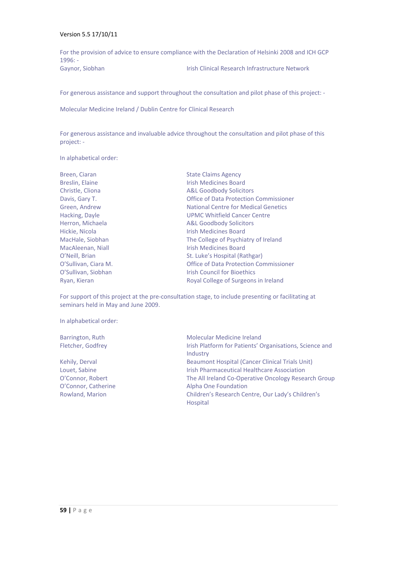#### Version 5.5 17/10/11

For the provision of advice to ensure compliance with the Declaration of Helsinki 2008 and ICH GCP 1996: ‐ Gaynor, Siobhan **Irish Clinical Research Infrastructure Network** 

For generous assistance and support throughout the consultation and pilot phase of this project: -

Molecular Medicine Ireland / Dublin Centre for Clinical Research

For generous assistance and invaluable advice throughout the consultation and pilot phase of this project: ‐

In alphabetical order:

| <b>State Claims Agency</b>                    |
|-----------------------------------------------|
| <b>Irish Medicines Board</b>                  |
| <b>A&amp;L Goodbody Solicitors</b>            |
| <b>Office of Data Protection Commissioner</b> |
| National Centre for Medical Genetics          |
| <b>UPMC Whitfield Cancer Centre</b>           |
| <b>A&amp;L Goodbody Solicitors</b>            |
| <b>Irish Medicines Board</b>                  |
| The College of Psychiatry of Ireland          |
| <b>Irish Medicines Board</b>                  |
| St. Luke's Hospital (Rathgar)                 |
| <b>Office of Data Protection Commissioner</b> |
| <b>Irish Council for Bioethics</b>            |
| Royal College of Surgeons in Ireland          |
|                                               |

For support of this project at the pre-consultation stage, to include presenting or facilitating at seminars held in May and June 2009.

In alphabetical order:

Barrington, Ruth **Barrington, Ruth Exercise II** Molecular Medicine Ireland Fletcher, Godfrey **International Irish Platform for Patients' Organisations**, Science and Industry Kehily, Derval **Beaumont Hospital (Cancer Clinical Trials Unit)** Beaumont Hospital (Cancer Clinical Trials Unit) Louet, Sabine **Irish Pharmaceutical Healthcare Association** O'Connor, Robert The All Ireland Co-Operative Oncology Research Group O'Connor, Catherine **Bank Connor, Catherine Alpha One Foundation** Rowland, Marion Children's Research Centre, Our Lady's Children's Hospital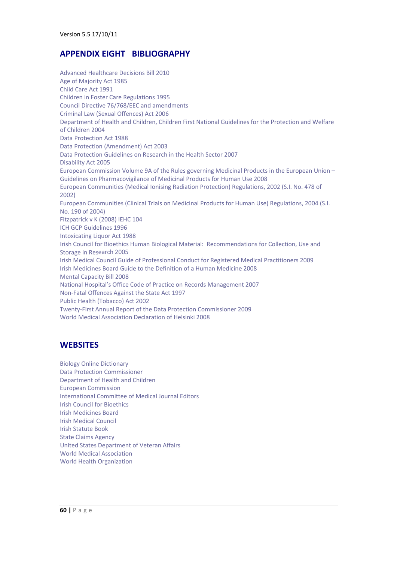# **APPENDIX EIGHT BIBLIOGRAPHY**

Advanced Healthcare Decisions Bill 2010 Age of Majority Act 1985 Child Care Act 1991 Children in Foster Care Regulations 1995 Council Directive 76/768/EEC and amendments Criminal Law (Sexual Offences) Act 2006 Department of Health and Children, Children First National Guidelines for the Protection and Welfare of Children 2004 Data Protection Act 1988 Data Protection (Amendment) Act 2003 Data Protection Guidelines on Research in the Health Sector 2007 Disability Act 2005 European Commission Volume 9A of the Rules governing Medicinal Products in the European Union – Guidelines on Pharmacovigilance of Medicinal Products for Human Use 2008 European Communities (Medical Ionising Radiation Protection) Regulations, 2002 (S.I. No. 478 of 2002) European Communities (Clinical Trials on Medicinal Products for Human Use) Regulations, 2004 (S.I. No. 190 of 2004) Fitzpatrick v K (2008) IEHC 104 ICH GCP Guidelines 1996 Intoxicating Liquor Act 1988 Irish Council for Bioethics Human Biological Material: Recommendations for Collection, Use and Storage in Research 2005 Irish Medical Council Guide of Professional Conduct for Registered Medical Practitioners 2009 Irish Medicines Board Guide to the Definition of a Human Medicine 2008 Mental Capacity Bill 2008 National Hospital's Office Code of Practice on Records Management 2007 Non‐Fatal Offences Against the State Act 1997 Public Health (Tobacco) Act 2002 Twenty‐First Annual Report of the Data Protection Commissioner 2009 World Medical Association Declaration of Helsinki 2008

# **WEBSITES**

Biology Online Dictionary Data Protection Commissioner Department of Health and Children European Commission International Committee of Medical Journal Editors Irish Council for Bioethics Irish Medicines Board Irish Medical Council Irish Statute Book State Claims Agency United States Department of Veteran Affairs World Medical Association World Health Organization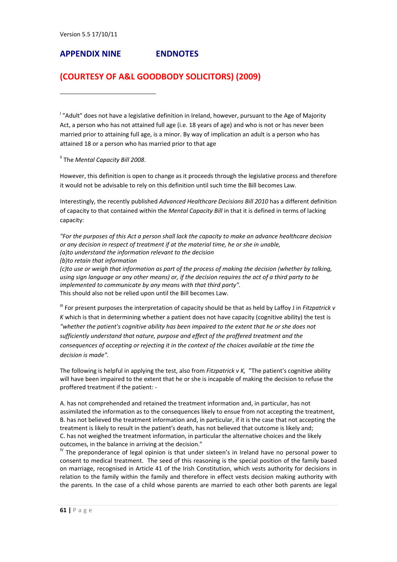# **APPENDIX NINE ENDNOTES**

# **(COURTESY OF A&L GOODBODY SOLICITORS) (2009)**

 $^{\prime}$  "Adult" does not have a legislative definition in Ireland, however, pursuant to the Age of Majority Act, a person who has not attained full age (i.e. 18 years of age) and who is not or has never been married prior to attaining full age, is a minor. By way of implication an adult is a person who has attained 18 or a person who has married prior to that age

II The *Mental Capacity Bill 2008*.

<u> 1989 - Johann Barn, mars ar breithinn ar breithinn ar breithinn ar breithinn ar breithinn ar breithinn ar br</u>

However, this definition is open to change as it proceeds through the legislative process and therefore it would not be advisable to rely on this definition until such time the Bill becomes Law.

Interestingly, the recently published *Advanced Healthcare Decisions Bill 2010* has a different definition of capacity to that contained within the *Mental Capacity Bill* in that it is defined in terms of lacking capacity:

"For the purposes of this Act a person shall lack the capacity to make an advance healthcare decision *or any decision in respect of treatment if at the material time, he or she in unable, (a)to understand the information relevant to the decision (b)to retain that information* (c)to use or weigh that information as part of the process of making the decision (whether by talking,

using sign language or any other means) or, if the decision requires the act of a third party to be *implemented to communicate by any means with that third party".* This should also not be relied upon until the Bill becomes Law.

III For present purposes the interpretation of capacity should be that as held by Laffoy J in *Fitzpatrick v K* which is that in determining whether a patient does not have capacity (cognitive ability) the test is *"whether the patient's cognitive ability has been impaired to the extent that he or she does not sufficiently understand that nature, purpose and effect of the proffered treatment and the consequences of accepting or rejecting it in the context of the choices available at the time the decision is made".*

The following is helpful in applying the test, also from *Fitzpatrick v K,* "The patient's cognitive ability will have been impaired to the extent that he or she is incapable of making the decision to refuse the proffered treatment if the patient: ‐

A. has not comprehended and retained the treatment information and, in particular, has not assimilated the information as to the consequences likely to ensue from not accepting the treatment, B. has not believed the treatment information and, in particular, if it is the case that not accepting the treatment is likely to result in the patient's death, has not believed that outcome is likely and; C. has not weighed the treatment information, in particular the alternative choices and the likely

outcomes, in the balance in arriving at the decision."<br>"The preponderance of legal opinion is that under sixteen's in Ireland have no personal power to consent to medical treatment. The seed of this reasoning is the special position of the family based on marriage, recognised in Article 41 of the Irish Constitution, which vests authority for decisions in relation to the family within the family and therefore in effect vests decision making authority with the parents. In the case of a child whose parents are married to each other both parents are legal